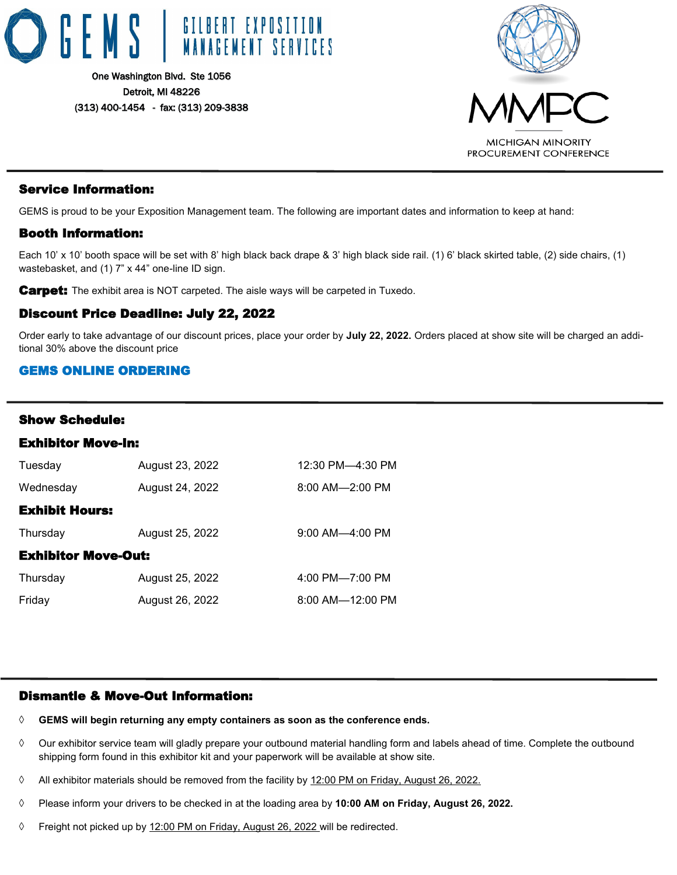



### Service Information:

GEMS is proud to be your Exposition Management team. The following are important dates and information to keep at hand:

### Booth Information:

Each 10' x 10' booth space will be set with 8' high black back drape & 3' high black side rail. (1) 6' black skirted table, (2) side chairs, (1) wastebasket, and (1) 7" x 44" one-line ID sign.

**Carpet:** The exhibit area is NOT carpeted. The aisle ways will be carpeted in Tuxedo.

### Discount Price Deadline: July 22, 2022

Order early to take advantage of our discount prices, place your order by **July 22, 2022.** Orders placed at show site will be charged an additional 30% above the discount price

### GEMS ONLINE ORDERING

### Show Schedule:

| Tuesday                    | August 23, 2022 | 12:30 PM-4:30 PM       |  |  |  |  |  |
|----------------------------|-----------------|------------------------|--|--|--|--|--|
| Wednesday                  | August 24, 2022 | $8:00$ AM- $-2:00$ PM  |  |  |  |  |  |
| <b>Exhibit Hours:</b>      |                 |                        |  |  |  |  |  |
| Thursday                   | August 25, 2022 | $9:00$ AM- $-4:00$ PM  |  |  |  |  |  |
| <b>Exhibitor Move-Out:</b> |                 |                        |  |  |  |  |  |
| Thursday                   | August 25, 2022 | 4:00 PM-7:00 PM        |  |  |  |  |  |
| Friday                     | August 26, 2022 | $8:00$ AM- $-12:00$ PM |  |  |  |  |  |

### Dismantle & Move-Out Information:

- **GEMS will begin returning any empty containers as soon as the conference ends.**
- $\Diamond$  Our exhibitor service team will gladly prepare your outbound material handling form and labels ahead of time. Complete the outbound shipping form found in this exhibitor kit and your paperwork will be available at show site.
- $\Diamond$  All exhibitor materials should be removed from the facility by 12:00 PM on Friday, August 26, 2022.
- Please inform your drivers to be checked in at the loading area by **10:00 AM on Friday, August 26, 2022.**
- ♦ Freight not picked up by 12:00 PM on Friday, August 26, 2022 will be redirected.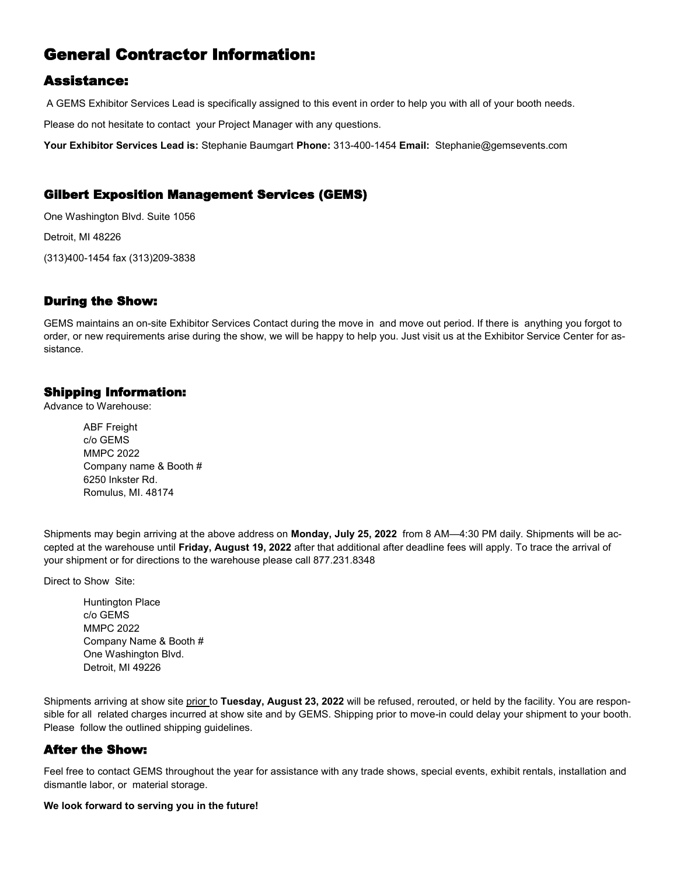# General Contractor Information:

# Assistance:

A GEMS Exhibitor Services Lead is specifically assigned to this event in order to help you with all of your booth needs.

Please do not hesitate to contact your Project Manager with any questions.

**Your Exhibitor Services Lead is:** Stephanie Baumgart **Phone:** 313-400-1454 **Email:** Stephanie@gemsevents.com

### Gilbert Exposition Management Services (GEMS)

One Washington Blvd. Suite 1056 Detroit, MI 48226 (313)400-1454 fax (313)209-3838

# During the Show:

GEMS maintains an on-site Exhibitor Services Contact during the move in and move out period. If there is anything you forgot to order, or new requirements arise during the show, we will be happy to help you. Just visit us at the Exhibitor Service Center for assistance.

### Shipping Information:

Advance to Warehouse:

ABF Freight c/o GEMS MMPC 2022 Company name & Booth # 6250 Inkster Rd. Romulus, MI. 48174

Shipments may begin arriving at the above address on **Monday, July 25, 2022** from 8 AM—4:30 PM daily. Shipments will be accepted at the warehouse until **Friday, August 19, 2022** after that additional after deadline fees will apply. To trace the arrival of your shipment or for directions to the warehouse please call 877.231.8348

Direct to Show Site:

Huntington Place c/o GEMS MMPC 2022 Company Name & Booth # One Washington Blvd. Detroit, MI 49226

Shipments arriving at show site prior to **Tuesday, August 23, 2022** will be refused, rerouted, or held by the facility. You are responsible for all related charges incurred at show site and by GEMS. Shipping prior to move-in could delay your shipment to your booth. Please follow the outlined shipping guidelines.

# After the Show:

Feel free to contact GEMS throughout the year for assistance with any trade shows, special events, exhibit rentals, installation and dismantle labor, or material storage.

#### **We look forward to serving you in the future!**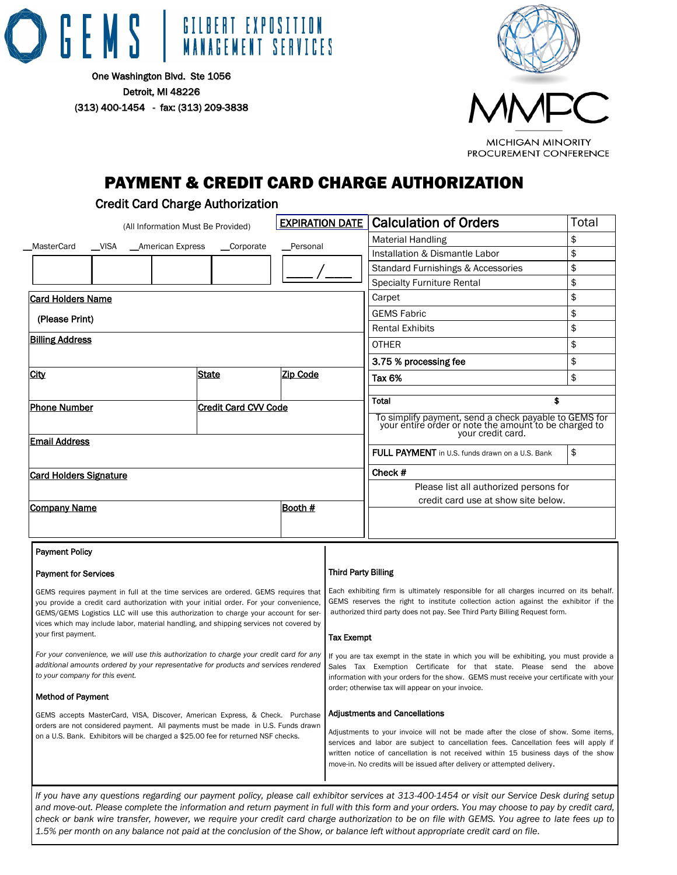



# PAYMENT & CREDIT CARD CHARGE AUTHORIZATION

### Credit Card Charge Authorization

| (All Information Must Be Provided)                                                                                                                                                                                 |  |  | <b>EXPIRATION DATE</b>                                                                                                                                                                                                                                              |                                                                                                                                                                                                                                                                                                                 | <b>Calculation of Orders</b> | Total                                                                                                                                                                                                                                                       |    |  |
|--------------------------------------------------------------------------------------------------------------------------------------------------------------------------------------------------------------------|--|--|---------------------------------------------------------------------------------------------------------------------------------------------------------------------------------------------------------------------------------------------------------------------|-----------------------------------------------------------------------------------------------------------------------------------------------------------------------------------------------------------------------------------------------------------------------------------------------------------------|------------------------------|-------------------------------------------------------------------------------------------------------------------------------------------------------------------------------------------------------------------------------------------------------------|----|--|
| $\_$ VISA<br>MasterCard<br>__American Express<br>__Corporate                                                                                                                                                       |  |  |                                                                                                                                                                                                                                                                     | <b>Material Handling</b>                                                                                                                                                                                                                                                                                        | \$                           |                                                                                                                                                                                                                                                             |    |  |
|                                                                                                                                                                                                                    |  |  |                                                                                                                                                                                                                                                                     | _Personal                                                                                                                                                                                                                                                                                                       |                              | Installation & Dismantle Labor                                                                                                                                                                                                                              | \$ |  |
|                                                                                                                                                                                                                    |  |  |                                                                                                                                                                                                                                                                     |                                                                                                                                                                                                                                                                                                                 |                              | Standard Furnishings & Accessories                                                                                                                                                                                                                          | \$ |  |
|                                                                                                                                                                                                                    |  |  |                                                                                                                                                                                                                                                                     |                                                                                                                                                                                                                                                                                                                 |                              | <b>Specialty Furniture Rental</b>                                                                                                                                                                                                                           | \$ |  |
| <b>Card Holders Name</b>                                                                                                                                                                                           |  |  |                                                                                                                                                                                                                                                                     |                                                                                                                                                                                                                                                                                                                 |                              | Carpet                                                                                                                                                                                                                                                      | \$ |  |
| (Please Print)                                                                                                                                                                                                     |  |  |                                                                                                                                                                                                                                                                     | <b>GEMS Fabric</b>                                                                                                                                                                                                                                                                                              | \$                           |                                                                                                                                                                                                                                                             |    |  |
|                                                                                                                                                                                                                    |  |  |                                                                                                                                                                                                                                                                     |                                                                                                                                                                                                                                                                                                                 |                              | <b>Rental Exhibits</b>                                                                                                                                                                                                                                      | \$ |  |
| <b>Billing Address</b>                                                                                                                                                                                             |  |  |                                                                                                                                                                                                                                                                     |                                                                                                                                                                                                                                                                                                                 |                              | <b>OTHER</b>                                                                                                                                                                                                                                                | \$ |  |
|                                                                                                                                                                                                                    |  |  |                                                                                                                                                                                                                                                                     |                                                                                                                                                                                                                                                                                                                 |                              | 3.75 % processing fee                                                                                                                                                                                                                                       | \$ |  |
| City                                                                                                                                                                                                               |  |  | <b>State</b>                                                                                                                                                                                                                                                        | Zip Code                                                                                                                                                                                                                                                                                                        |                              | Tax 6%                                                                                                                                                                                                                                                      | \$ |  |
|                                                                                                                                                                                                                    |  |  |                                                                                                                                                                                                                                                                     |                                                                                                                                                                                                                                                                                                                 |                              |                                                                                                                                                                                                                                                             |    |  |
| <b>Phone Number</b>                                                                                                                                                                                                |  |  | <b>Credit Card CVV Code</b>                                                                                                                                                                                                                                         |                                                                                                                                                                                                                                                                                                                 |                              | \$<br>Total                                                                                                                                                                                                                                                 |    |  |
|                                                                                                                                                                                                                    |  |  |                                                                                                                                                                                                                                                                     |                                                                                                                                                                                                                                                                                                                 |                              | To simplify payment, send a check payable to GEMS for<br>your entire order or note the amount to be charged to<br>your credit card.                                                                                                                         |    |  |
| <b>Email Address</b>                                                                                                                                                                                               |  |  |                                                                                                                                                                                                                                                                     | <b>FULL PAYMENT</b> in U.S. funds drawn on a U.S. Bank                                                                                                                                                                                                                                                          | \$                           |                                                                                                                                                                                                                                                             |    |  |
| <b>Card Holders Signature</b>                                                                                                                                                                                      |  |  |                                                                                                                                                                                                                                                                     |                                                                                                                                                                                                                                                                                                                 |                              | Check #                                                                                                                                                                                                                                                     |    |  |
|                                                                                                                                                                                                                    |  |  |                                                                                                                                                                                                                                                                     |                                                                                                                                                                                                                                                                                                                 |                              | Please list all authorized persons for                                                                                                                                                                                                                      |    |  |
| Company Name                                                                                                                                                                                                       |  |  |                                                                                                                                                                                                                                                                     | Booth #                                                                                                                                                                                                                                                                                                         |                              | credit card use at show site below.                                                                                                                                                                                                                         |    |  |
|                                                                                                                                                                                                                    |  |  |                                                                                                                                                                                                                                                                     |                                                                                                                                                                                                                                                                                                                 |                              |                                                                                                                                                                                                                                                             |    |  |
|                                                                                                                                                                                                                    |  |  |                                                                                                                                                                                                                                                                     |                                                                                                                                                                                                                                                                                                                 |                              |                                                                                                                                                                                                                                                             |    |  |
| <b>Payment Policy</b>                                                                                                                                                                                              |  |  |                                                                                                                                                                                                                                                                     |                                                                                                                                                                                                                                                                                                                 |                              |                                                                                                                                                                                                                                                             |    |  |
| <b>Payment for Services</b>                                                                                                                                                                                        |  |  |                                                                                                                                                                                                                                                                     |                                                                                                                                                                                                                                                                                                                 | <b>Third Party Billing</b>   |                                                                                                                                                                                                                                                             |    |  |
|                                                                                                                                                                                                                    |  |  | GEMS requires payment in full at the time services are ordered. GEMS requires that<br>you provide a credit card authorization with your initial order. For your convenience,<br>GEMS/GEMS Logistics LLC will use this authorization to charge your account for ser- |                                                                                                                                                                                                                                                                                                                 |                              | Each exhibiting firm is ultimately responsible for all charges incurred on its behalf.<br>GEMS reserves the right to institute collection action against the exhibitor if the<br>authorized third party does not pay. See Third Party Billing Request form. |    |  |
|                                                                                                                                                                                                                    |  |  | vices which may include labor, material handling, and shipping services not covered by                                                                                                                                                                              |                                                                                                                                                                                                                                                                                                                 |                              |                                                                                                                                                                                                                                                             |    |  |
| your first payment.                                                                                                                                                                                                |  |  |                                                                                                                                                                                                                                                                     |                                                                                                                                                                                                                                                                                                                 | <b>Tax Exempt</b>            |                                                                                                                                                                                                                                                             |    |  |
| For your convenience, we will use this authorization to charge your credit card for any<br>additional amounts ordered by your representative for products and services rendered<br>to your company for this event. |  |  |                                                                                                                                                                                                                                                                     | If you are tax exempt in the state in which you will be exhibiting, you must provide a<br>Sales Tax Exemption Certificate for that state. Please send the above<br>information with your orders for the show. GEMS must receive your certificate with your<br>order; otherwise tax will appear on your invoice. |                              |                                                                                                                                                                                                                                                             |    |  |
| <b>Method of Payment</b>                                                                                                                                                                                           |  |  |                                                                                                                                                                                                                                                                     |                                                                                                                                                                                                                                                                                                                 |                              |                                                                                                                                                                                                                                                             |    |  |
|                                                                                                                                                                                                                    |  |  | GEMS accepts MasterCard, VISA, Discover, American Express, & Check. Purchase                                                                                                                                                                                        |                                                                                                                                                                                                                                                                                                                 |                              | <b>Adjustments and Cancellations</b>                                                                                                                                                                                                                        |    |  |
|                                                                                                                                                                                                                    |  |  | orders are not considered payment. All payments must be made in U.S. Funds drawn<br>on a U.S. Bank. Exhibitors will be charged a \$25.00 fee for returned NSF checks.                                                                                               |                                                                                                                                                                                                                                                                                                                 |                              | Adjustments to your invoice will not be made after the close of show. Some items,<br>services and labor are subject to cancellation fees. Cancellation fees will apply if                                                                                   |    |  |
|                                                                                                                                                                                                                    |  |  |                                                                                                                                                                                                                                                                     |                                                                                                                                                                                                                                                                                                                 |                              | written notice of cancellation is not received within 15 business days of the show<br>move-in. No credits will be issued after delivery or attempted delivery.                                                                                              |    |  |
|                                                                                                                                                                                                                    |  |  |                                                                                                                                                                                                                                                                     |                                                                                                                                                                                                                                                                                                                 |                              | If you have any questions regarding our payment policy, please call exhibitor services at 313-400-1454 or visit our Service Desk during setup                                                                                                               |    |  |

*and move-out. Please complete the information and return payment in full with this form and your orders. You may choose to pay by credit card, check or bank wire transfer, however, we require your credit card charge authorization to be on file with GEMS. You agree to late fees up to 1.5% per month on any balance not paid at the conclusion of the Show, or balance left without appropriate credit card on file.*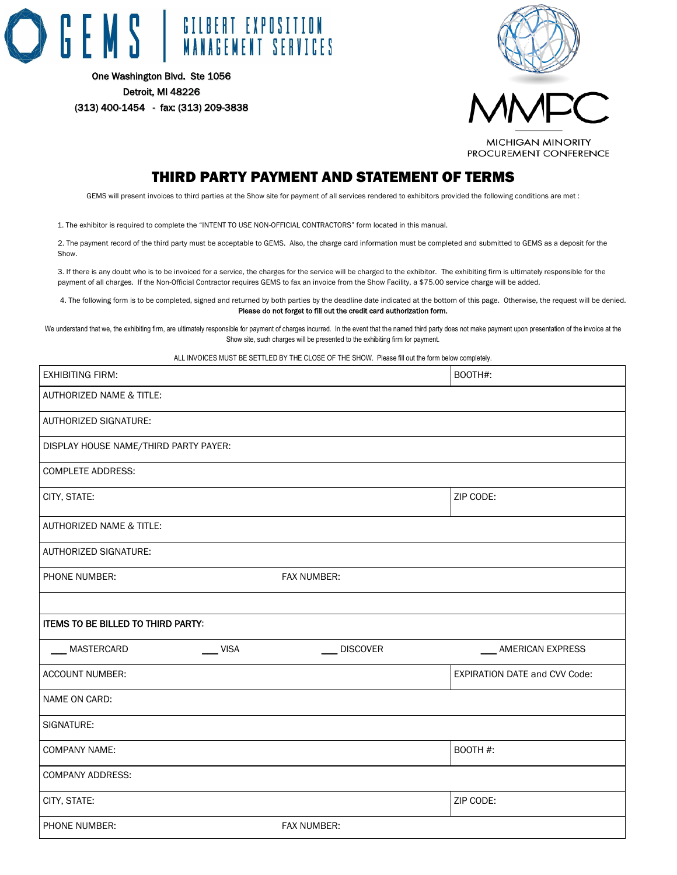



PROCUREMENT CONFERENCE

# THIRD PARTY PAYMENT AND STATEMENT OF TERMS

GEMS will present invoices to third parties at the Show site for payment of all services rendered to exhibitors provided the following conditions are met :

1. The exhibitor is required to complete the "INTENT TO USE NON-OFFICIAL CONTRACTORS" form located in this manual.

2. The payment record of the third party must be acceptable to GEMS. Also, the charge card information must be completed and submitted to GEMS as a deposit for the Show.

3. If there is any doubt who is to be invoiced for a service, the charges for the service will be charged to the exhibitor. The exhibiting firm is ultimately responsible for the payment of all charges. If the Non-Official Contractor requires GEMS to fax an invoice from the Show Facility, a \$75.00 service charge will be added.

4. The following form is to be completed, signed and returned by both parties by the deadline date indicated at the bottom of this page. Otherwise, the request will be denied. Please do not forget to fill out the credit card authorization form.

We understand that we, the exhibiting firm, are ultimately responsible for payment of charges incurred. In the event that the named third party does not make payment upon presentation of the invoice at the Show site, such charges will be presented to the exhibiting firm for payment.

ALL INVOICES MUST BE SETTLED BY THE CLOSE OF THE SHOW. Please fill out the form below completely.

| <b>EXHIBITING FIRM:</b>               |             | BOOTH#:                              |
|---------------------------------------|-------------|--------------------------------------|
| AUTHORIZED NAME & TITLE:              |             |                                      |
| AUTHORIZED SIGNATURE:                 |             |                                      |
| DISPLAY HOUSE NAME/THIRD PARTY PAYER: |             |                                      |
| <b>COMPLETE ADDRESS:</b>              |             |                                      |
| CITY, STATE:                          |             | ZIP CODE:                            |
| AUTHORIZED NAME & TITLE:              |             |                                      |
| AUTHORIZED SIGNATURE:                 |             |                                      |
| PHONE NUMBER:                         | FAX NUMBER: |                                      |
|                                       |             |                                      |
| ITEMS TO BE BILLED TO THIRD PARTY:    |             |                                      |
| $\frac{1}{2}$ VISA<br>MASTERCARD      | DISCOVER    | AMERICAN EXPRESS                     |
| ACCOUNT NUMBER:                       |             | <b>EXPIRATION DATE and CVV Code:</b> |
| NAME ON CARD:                         |             |                                      |
| SIGNATURE:                            |             |                                      |
| <b>COMPANY NAME:</b>                  |             | BOOTH #:                             |
| <b>COMPANY ADDRESS:</b>               |             |                                      |
| CITY, STATE:                          |             | ZIP CODE:                            |
| PHONE NUMBER:                         | FAX NUMBER: |                                      |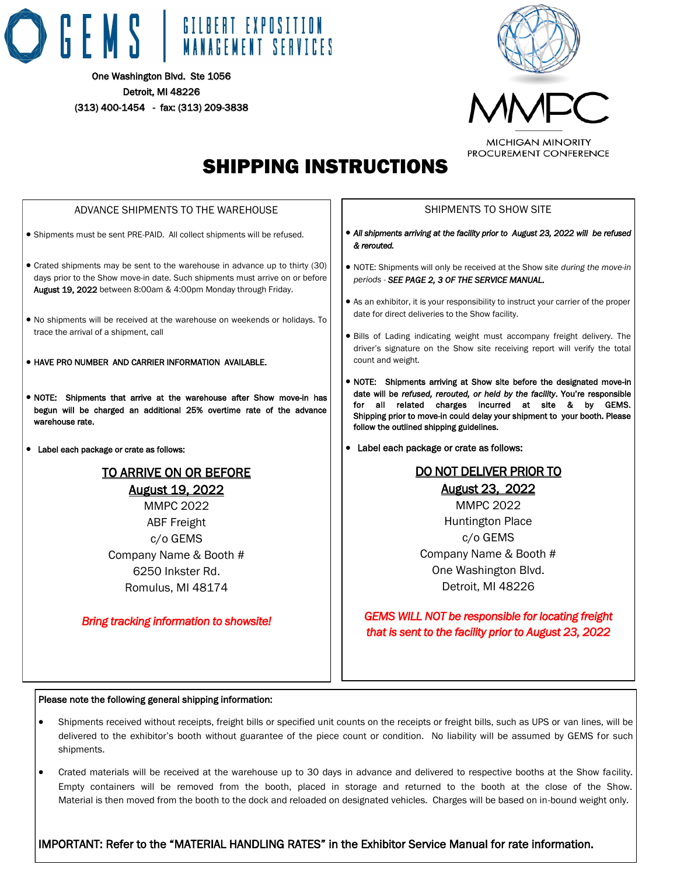



# SHIPPING INSTRUCTIONS

#### ADVANCE SHIPMENTS TO THE WAREHOUSE • Shipments must be sent PRE-PAID. All collect shipments will be refused. • Crated shipments may be sent to the warehouse in advance up to thirty (30) days prior to the Show move-in date. Such shipments must arrive on or before August 19, 2022 between 8:00am & 4:00pm Monday through Friday. • No shipments will be received at the warehouse on weekends or holidays. To trace the arrival of a shipment, call • HAVE PRO NUMBER AND CARRIER INFORMATION AVAILABLE. • NOTE: Shipments that arrive at the warehouse after Show move-in has begun will be charged an additional 25% overtime rate of the advance warehouse rate. • Label each package or crate as follows: TO ARRIVE ON OR BEFORE August 19, 2022 MMPC 2022 ABF Freight SHIPMENTS TO SHOW SITE *& rerouted. periods - SEE PAGE 2, 3 OF THE SERVICE MANUAL.* date for direct deliveries to the Show facility. count and weight. follow the outlined shipping guidelines. • Label each package or crate as follows: DO NOT DELIVER PRIOR TO August 23, 2022 MMPC 2022 Huntington Place

c/o GEMS Company Name & Booth # 6250 Inkster Rd. Romulus, MI 48174

### *Bring tracking information to showsite!*

- *All shipments arriving at the facility prior to August 23, 2022 will be refused*
- NOTE: Shipments will only be received at the Show site *during the move-in*
- As an exhibitor, it is your responsibility to instruct your carrier of the proper
- Bills of Lading indicating weight must accompany freight delivery. The driver's signature on the Show site receiving report will verify the total
- NOTE: Shipments arriving at Show site before the designated move-in date will be *refused, rerouted, or held by the facility*. You're responsible for all related charges incurred at site & by GEMS. Shipping prior to move-in could delay your shipment to your booth. Please

c/o GEMS Company Name & Booth # One Washington Blvd. Detroit, MI 48226

*GEMS WILL NOT be responsible for locating freight that is sent to the facility prior to August 23, 2022* 

#### Please note the following general shipping information:

- Shipments received without receipts, freight bills or specified unit counts on the receipts or freight bills, such as UPS or van lines, will be delivered to the exhibitor's booth without guarantee of the piece count or condition. No liability will be assumed by GEMS for such shipments.
- Empty containers will be removed from the booth, placed in storage and returned to the booth at the close of the Show. • Crated materials will be received at the warehouse up to 30 days in advance and delivered to respective booths at the Show facility. Material is then moved from the booth to the dock and reloaded on designated vehicles. Charges will be based on in-bound weight only.

IMPORTANT: Refer to the "MATERIAL HANDLING RATES" in the Exhibitor Service Manual for rate information.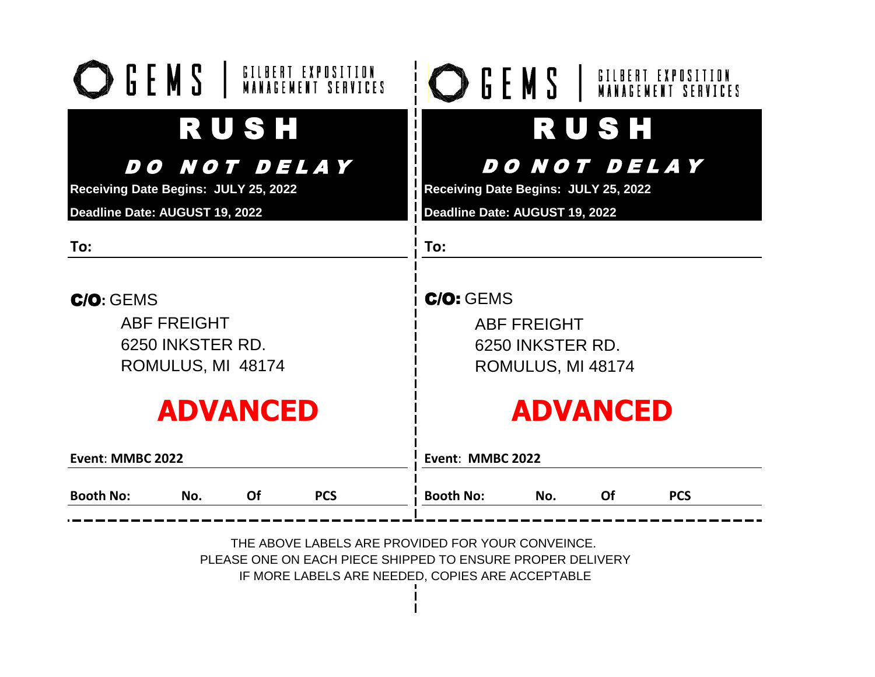| <b>Booth No:</b>                     | No.                | Of   | <b>PCS</b>          | <b>Booth No:</b>                     | No.                 | <b>Of</b>   | <b>PCS</b> |
|--------------------------------------|--------------------|------|---------------------|--------------------------------------|---------------------|-------------|------------|
| Event: MMBC 2022                     |                    |      |                     | Event: MMBC 2022                     |                     |             |            |
|                                      | <b>ADVANCED</b>    |      |                     |                                      | <b>ADVANCED</b>     |             |            |
|                                      | ROMULUS, MI 48174  |      |                     |                                      | ROMULUS, MI 48174   |             |            |
|                                      | 6250 INKSTER RD.   |      |                     |                                      | 6250 INKSTER RD.    |             |            |
|                                      | <b>ABF FREIGHT</b> |      |                     |                                      | <b>ABF FREIGHT</b>  |             |            |
| C/O: GENS                            |                    |      |                     | <b>C/O: GEMS</b>                     |                     |             |            |
| To:                                  |                    |      |                     | To:                                  |                     |             |            |
| Deadline Date: AUGUST 19, 2022       |                    |      |                     | Deadline Date: AUGUST 19, 2022       |                     |             |            |
| Receiving Date Begins: JULY 25, 2022 |                    |      |                     | Receiving Date Begins: JULY 25, 2022 |                     |             |            |
|                                      |                    |      | <i>DO NOT DELAY</i> |                                      | <i>DO NOT DELAY</i> |             |            |
|                                      |                    | RUSH |                     |                                      |                     | <b>RUSH</b> |            |
| <b>DEMS</b> I GILBERT EXPOSITION     |                    |      |                     | <b>SENS</b> I GILBERT EXPOSITION     |                     |             |            |

THE ABOVE LABELS ARE PROVIDED FOR YOUR CONVEINCE. PLEASE ONE ON EACH PIECE SHIPPED TO ENSURE PROPER DELIVERY IF MORE LABELS ARE NEEDED, COPIES ARE ACCEPTABLE

 $\mathbf{I}$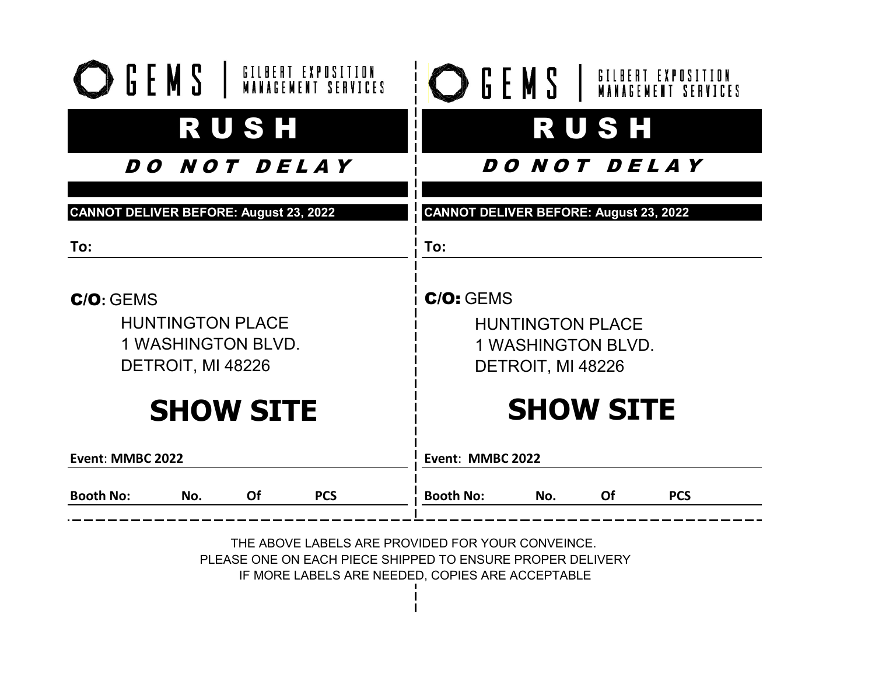| <b>RUSH</b><br><i>DO NOT DELAY</i><br><b>CANNOT DELIVER BEFORE: August 23, 2022</b><br>To:                      |  |  |
|-----------------------------------------------------------------------------------------------------------------|--|--|
|                                                                                                                 |  |  |
|                                                                                                                 |  |  |
|                                                                                                                 |  |  |
|                                                                                                                 |  |  |
| C/O: GEMS                                                                                                       |  |  |
| <b>HUNTINGTON PLACE</b>                                                                                         |  |  |
| <b>1 WASHINGTON BLVD.</b>                                                                                       |  |  |
| DETROIT, MI 48226                                                                                               |  |  |
| <b>SHOW SITE</b>                                                                                                |  |  |
| Event: MMBC 2022                                                                                                |  |  |
| <b>Booth No:</b><br>No.<br>Of<br><b>PCS</b>                                                                     |  |  |
| THE ABOVE LABELS ARE PROVIDED FOR YOUR CONVEINCE.<br>PLEASE ONE ON EACH PIECE SHIPPED TO ENSURE PROPER DELIVERY |  |  |

IF MORE LABELS ARE NEEDED, COPIES ARE ACCEPTABLE

 $\mathbf{I}$  $\mathbf{I}$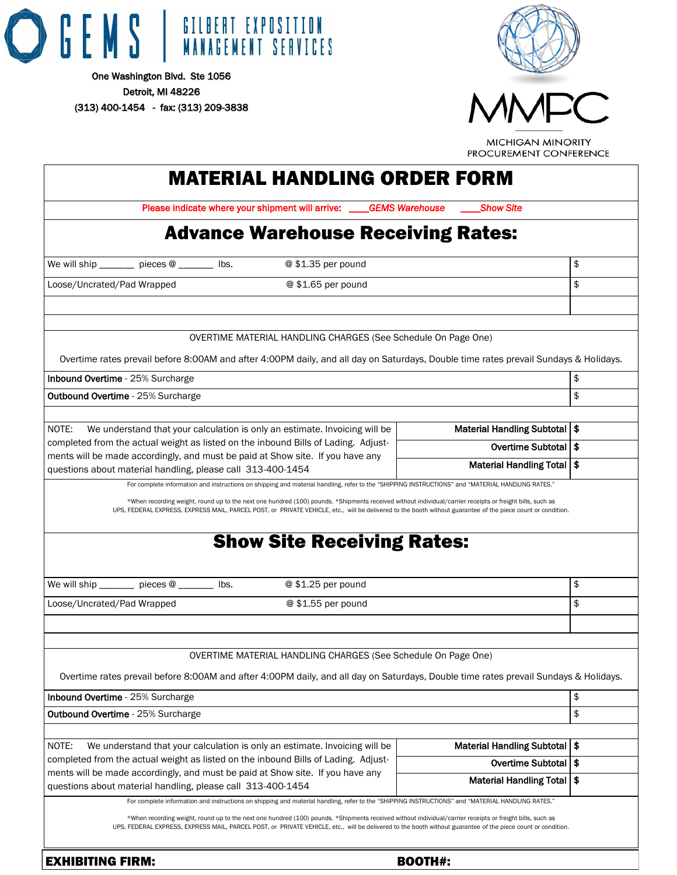

Detroit, MI 48226 (313) 400-1454 - fax: (313) 209-3838





**MICHIGAN MINORITY** PROCUREMENT CONFERENCE

| <b>MATERIAL HANDLING ORDER FORM</b>                                                                                                                                                                                                                                                                                                                                                                                                                                          |                                                           |    |
|------------------------------------------------------------------------------------------------------------------------------------------------------------------------------------------------------------------------------------------------------------------------------------------------------------------------------------------------------------------------------------------------------------------------------------------------------------------------------|-----------------------------------------------------------|----|
| Please indicate where your shipment will arrive: ___                                                                                                                                                                                                                                                                                                                                                                                                                         | <b>GEMS Warehouse</b><br><b>Show Site</b>                 |    |
| <b>Advance Warehouse Receiving Rates:</b>                                                                                                                                                                                                                                                                                                                                                                                                                                    |                                                           |    |
| @ \$1.35 per pound<br>We will ship $\frac{1}{\sqrt{1-\frac{1}{\sqrt{1-\frac{1}{\sqrt{1-\frac{1}{\sqrt{1-\frac{1}{\sqrt{1-\frac{1}{\sqrt{1-\frac{1}{\sqrt{1-\frac{1}{\sqrt{1-\frac{1}{\sqrt{1-\frac{1}{\sqrt{1-\frac{1}{\sqrt{1-\frac{1}{\sqrt{1-\frac{1}{\sqrt{1-\frac{1}{\sqrt{1-\frac{1}{\sqrt{1-\frac{1}{\sqrt{1-\frac{1}{\sqrt{1-\frac{1}{\sqrt{1-\frac{1}{\sqrt{1-\frac{1}{\sqrt{1-\frac{1}{\sqrt{1-\frac{1}{\sqrt{1-\frac{1}{\sqrt{1$                                  |                                                           | \$ |
| Loose/Uncrated/Pad Wrapped<br>@ \$1.65 per pound                                                                                                                                                                                                                                                                                                                                                                                                                             |                                                           | \$ |
|                                                                                                                                                                                                                                                                                                                                                                                                                                                                              |                                                           |    |
|                                                                                                                                                                                                                                                                                                                                                                                                                                                                              |                                                           |    |
| OVERTIME MATERIAL HANDLING CHARGES (See Schedule On Page One)<br>Overtime rates prevail before 8:00AM and after 4:00PM daily, and all day on Saturdays, Double time rates prevail Sundays & Holidays.                                                                                                                                                                                                                                                                        |                                                           |    |
| Inbound Overtime - 25% Surcharge                                                                                                                                                                                                                                                                                                                                                                                                                                             |                                                           | \$ |
| <b>Outbound Overtime</b> - 25% Surcharge                                                                                                                                                                                                                                                                                                                                                                                                                                     |                                                           | \$ |
|                                                                                                                                                                                                                                                                                                                                                                                                                                                                              |                                                           |    |
| NOTE:<br>We understand that your calculation is only an estimate. Invoicing will be                                                                                                                                                                                                                                                                                                                                                                                          | Material Handling Subtotal   \$                           |    |
| completed from the actual weight as listed on the inbound Bills of Lading. Adjust-<br>ments will be made accordingly, and must be paid at Show site. If you have any                                                                                                                                                                                                                                                                                                         | Overtime Subtotal   \$                                    |    |
| questions about material handling, please call 313-400-1454                                                                                                                                                                                                                                                                                                                                                                                                                  | Material Handling Total   \$                              |    |
|                                                                                                                                                                                                                                                                                                                                                                                                                                                                              |                                                           |    |
| We will ship $\frac{1}{\sqrt{1-\frac{1}{\sqrt{1-\frac{1}{\sqrt{1-\frac{1}{\sqrt{1-\frac{1}{\sqrt{1-\frac{1}{\sqrt{1-\frac{1}{\sqrt{1-\frac{1}{\sqrt{1-\frac{1}{\sqrt{1-\frac{1}{\sqrt{1-\frac{1}{\sqrt{1-\frac{1}{\sqrt{1-\frac{1}{\sqrt{1-\frac{1}{\sqrt{1-\frac{1}{\sqrt{1-\frac{1}{\sqrt{1-\frac{1}{\sqrt{1-\frac{1}{\sqrt{1-\frac{1}{\sqrt{1-\frac{1}{\sqrt{1-\frac{1}{\sqrt{1-\frac{1}{\sqrt{1-\frac{1}{\sqrt{1$<br>@ \$1.25 per pound                                  |                                                           | \$ |
| @ \$1.55 per pound<br>Loose/Uncrated/Pad Wrapped                                                                                                                                                                                                                                                                                                                                                                                                                             |                                                           | \$ |
|                                                                                                                                                                                                                                                                                                                                                                                                                                                                              |                                                           |    |
| OVERTIME MATERIAL HANDLING CHARGES (See Schedule On Page One)                                                                                                                                                                                                                                                                                                                                                                                                                |                                                           |    |
| Overtime rates prevail before 8:00AM and after 4:00PM daily, and all day on Saturdays, Double time rates prevail Sundays & Holidays.                                                                                                                                                                                                                                                                                                                                         |                                                           |    |
| Inbound Overtime - 25% Surcharge                                                                                                                                                                                                                                                                                                                                                                                                                                             |                                                           | \$ |
| <b>Outbound Overtime - 25% Surcharge</b>                                                                                                                                                                                                                                                                                                                                                                                                                                     |                                                           | \$ |
|                                                                                                                                                                                                                                                                                                                                                                                                                                                                              |                                                           |    |
| NOTE:<br>We understand that your calculation is only an estimate. Invoicing will be<br>completed from the actual weight as listed on the inbound Bills of Lading. Adjust-                                                                                                                                                                                                                                                                                                    | Material Handling Subtotal   \$<br>Overtime Subtotal   \$ |    |
| ments will be made accordingly, and must be paid at Show site. If you have any                                                                                                                                                                                                                                                                                                                                                                                               | Material Handling Total   \$                              |    |
| questions about material handling, please call 313-400-1454                                                                                                                                                                                                                                                                                                                                                                                                                  |                                                           |    |
| For complete information and instructions on shipping and material handling, refer to the "SHIPPING INSTRUCTIONS" and "MATERIAL HANDLING RATES."<br>*When recording weight, round up to the next one hundred (100) pounds. *Shipments received without individual/carrier receipts or freight bills, such as<br>UPS, FEDERAL EXPRESS, EXPRESS MAIL, PARCEL POST, or PRIVATE VEHICLE, etc., will be delivered to the booth without guarantee of the piece count or condition. |                                                           |    |
| <b>EXHIBITING FIRM:</b>                                                                                                                                                                                                                                                                                                                                                                                                                                                      | <b>BOOTH#:</b>                                            |    |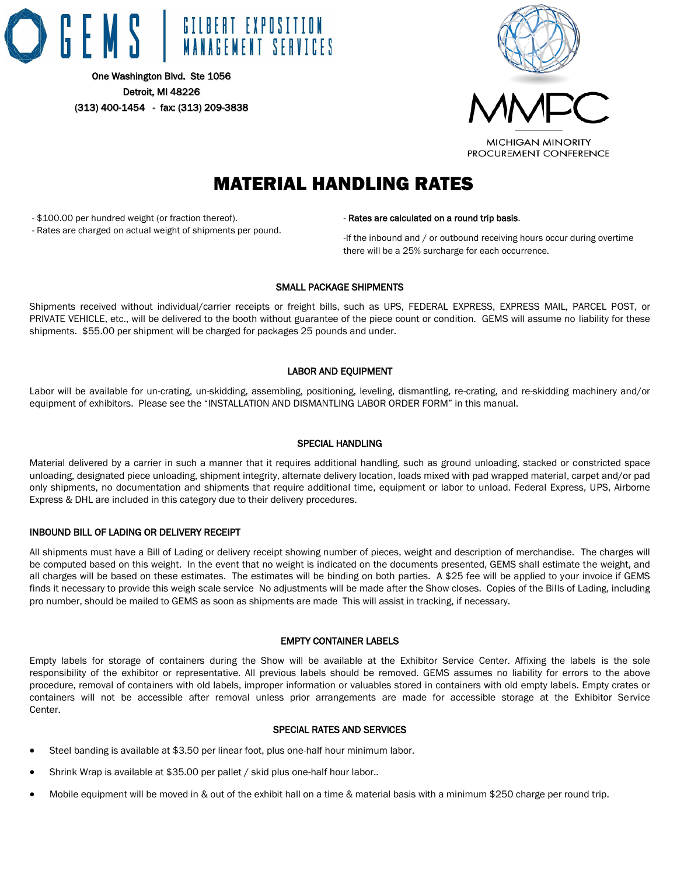



# MATERIAL HANDLING RATES

- \$100.00 per hundred weight (or fraction thereof).

- Rates are charged on actual weight of shipments per pound.

#### - Rates are calculated on a round trip basis.

-If the inbound and / or outbound receiving hours occur during overtime there will be a 25% surcharge for each occurrence.

#### SMALL PACKAGE SHIPMENTS

Shipments received without individual/carrier receipts or freight bills, such as UPS, FEDERAL EXPRESS, EXPRESS MAIL, PARCEL POST, or PRIVATE VEHICLE, etc., will be delivered to the booth without guarantee of the piece count or condition. GEMS will assume no liability for these shipments. \$55.00 per shipment will be charged for packages 25 pounds and under.

#### LABOR AND EQUIPMENT

Labor will be available for un-crating, un-skidding, assembling, positioning, leveling, dismantling, re-crating, and re-skidding machinery and/or equipment of exhibitors. Please see the "INSTALLATION AND DISMANTLING LABOR ORDER FORM" in this manual.

#### SPECIAL HANDLING

Material delivered by a carrier in such a manner that it requires additional handling, such as ground unloading, stacked or constricted space unloading, designated piece unloading, shipment integrity, alternate delivery location, loads mixed with pad wrapped material, carpet and/or pad only shipments, no documentation and shipments that require additional time, equipment or labor to unload. Federal Express, UPS, Airborne Express & DHL are included in this category due to their delivery procedures.

#### INBOUND BILL OF LADING OR DELIVERY RECEIPT

All shipments must have a Bill of Lading or delivery receipt showing number of pieces, weight and description of merchandise. The charges will be computed based on this weight. In the event that no weight is indicated on the documents presented, GEMS shall estimate the weight, and all charges will be based on these estimates. The estimates will be binding on both parties. A \$25 fee will be applied to your invoice if GEMS finds it necessary to provide this weigh scale service No adjustments will be made after the Show closes. Copies of the Bills of Lading, including pro number, should be mailed to GEMS as soon as shipments are made This will assist in tracking, if necessary.

#### EMPTY CONTAINER LABELS

Empty labels for storage of containers during the Show will be available at the Exhibitor Service Center. Affixing the labels is the sole responsibility of the exhibitor or representative. All previous labels should be removed. GEMS assumes no liability for errors to the above procedure, removal of containers with old labels, improper information or valuables stored in containers with old empty labels. Empty crates or containers will not be accessible after removal unless prior arrangements are made for accessible storage at the Exhibitor Service Center.

#### SPECIAL RATES AND SERVICES

- Steel banding is available at \$3.50 per linear foot, plus one-half hour minimum labor.
- Shrink Wrap is available at \$35.00 per pallet / skid plus one-half hour labor..
- Mobile equipment will be moved in & out of the exhibit hall on a time & material basis with a minimum \$250 charge per round trip.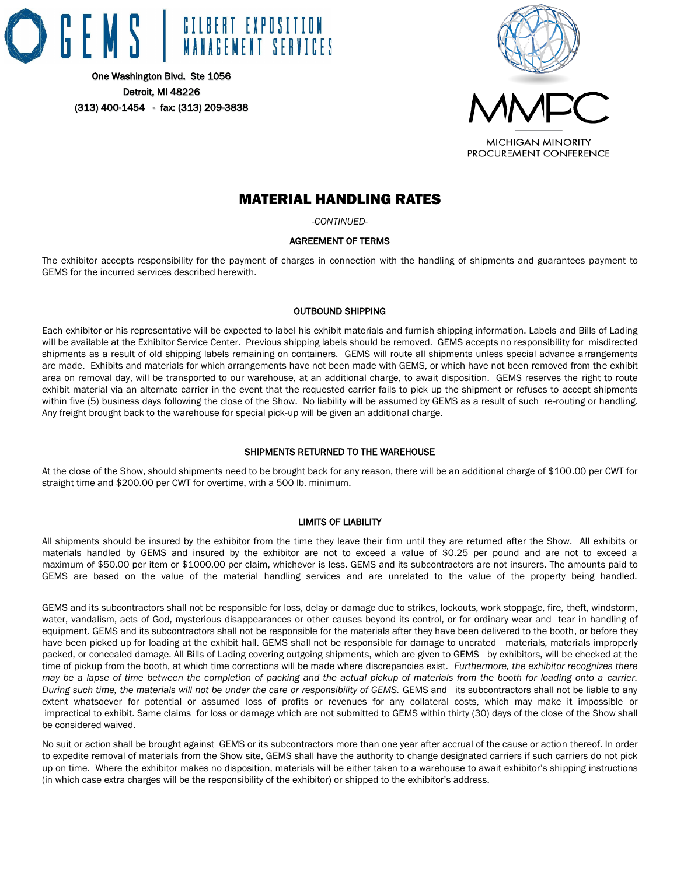



# MATERIAL HANDLING RATES

*-CONTINUED-*

#### AGREEMENT OF TERMS

The exhibitor accepts responsibility for the payment of charges in connection with the handling of shipments and guarantees payment to GEMS for the incurred services described herewith.

#### OUTBOUND SHIPPING

Each exhibitor or his representative will be expected to label his exhibit materials and furnish shipping information. Labels and Bills of Lading will be available at the Exhibitor Service Center. Previous shipping labels should be removed. GEMS accepts no responsibility for misdirected shipments as a result of old shipping labels remaining on containers. GEMS will route all shipments unless special advance arrangements are made. Exhibits and materials for which arrangements have not been made with GEMS, or which have not been removed from the exhibit area on removal day, will be transported to our warehouse, at an additional charge, to await disposition. GEMS reserves the right to route exhibit material via an alternate carrier in the event that the requested carrier fails to pick up the shipment or refuses to accept shipments within five (5) business days following the close of the Show. No liability will be assumed by GEMS as a result of such re-routing or handling. Any freight brought back to the warehouse for special pick-up will be given an additional charge.

#### SHIPMENTS RETURNED TO THE WAREHOUSE

At the close of the Show, should shipments need to be brought back for any reason, there will be an additional charge of \$100.00 per CWT for straight time and \$200.00 per CWT for overtime, with a 500 lb. minimum.

#### LIMITS OF LIABILITY

All shipments should be insured by the exhibitor from the time they leave their firm until they are returned after the Show. All exhibits or materials handled by GEMS and insured by the exhibitor are not to exceed a value of \$0.25 per pound and are not to exceed a maximum of \$50.00 per item or \$1000.00 per claim, whichever is less. GEMS and its subcontractors are not insurers. The amounts paid to GEMS are based on the value of the material handling services and are unrelated to the value of the property being handled.

GEMS and its subcontractors shall not be responsible for loss, delay or damage due to strikes, lockouts, work stoppage, fire, theft, windstorm, water, vandalism, acts of God, mysterious disappearances or other causes beyond its control, or for ordinary wear and tear in handling of equipment. GEMS and its subcontractors shall not be responsible for the materials after they have been delivered to the booth, or before they have been picked up for loading at the exhibit hall. GEMS shall not be responsible for damage to uncrated materials, materials improperly packed, or concealed damage. All Bills of Lading covering outgoing shipments, which are given to GEMS by exhibitors, will be checked at the time of pickup from the booth, at which time corrections will be made where discrepancies exist. *Furthermore, the exhibitor recognizes there may be a lapse of time between the completion of packing and the actual pickup of materials from the booth for loading onto a carrier. During such time, the materials will not be under the care or responsibility of GEMS. GEMS and its subcontractors shall not be liable to any* extent whatsoever for potential or assumed loss of profits or revenues for any collateral costs, which may make it impossible or impractical to exhibit. Same claims for loss or damage which are not submitted to GEMS within thirty (30) days of the close of the Show shall be considered waived.

No suit or action shall be brought against GEMS or its subcontractors more than one year after accrual of the cause or action thereof. In order to expedite removal of materials from the Show site, GEMS shall have the authority to change designated carriers if such carriers do not pick up on time. Where the exhibitor makes no disposition, materials will be either taken to a warehouse to await exhibitor's shipping instructions (in which case extra charges will be the responsibility of the exhibitor) or shipped to the exhibitor's address.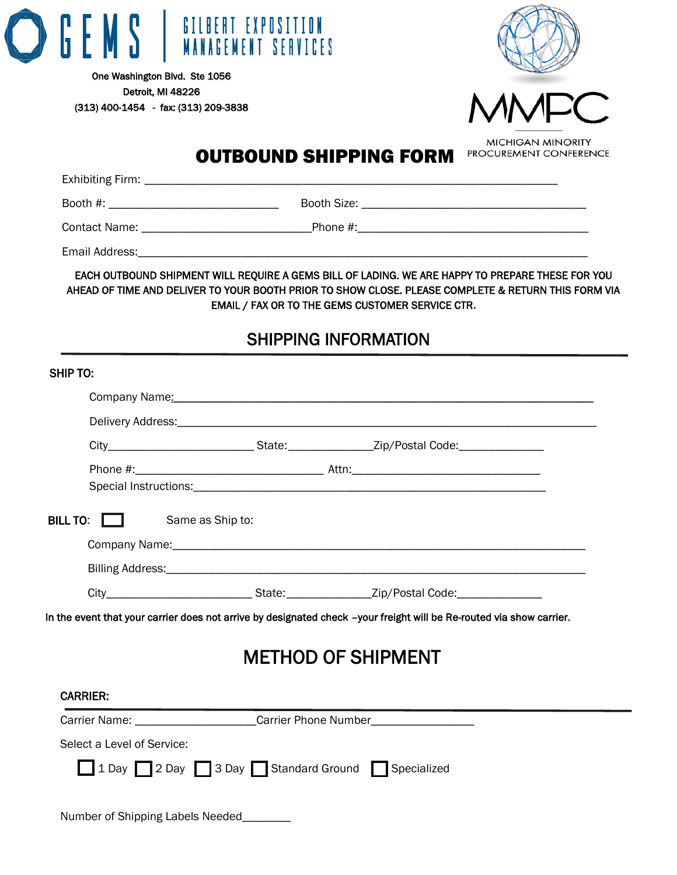



# OUTBOUND SHIPPING FORM

Exhibiting Firm: \_\_\_\_\_\_\_\_\_\_\_\_\_\_\_\_\_\_\_\_\_\_\_\_\_\_\_\_\_\_\_\_\_\_\_\_\_\_\_\_\_\_\_\_\_\_\_\_\_\_\_\_\_\_\_\_\_\_\_\_\_\_\_\_\_\_\_\_

Booth #: \_\_\_\_\_\_\_\_\_\_\_\_\_\_\_\_\_\_\_\_\_\_\_\_\_\_\_\_ Booth Size: \_\_\_\_\_\_\_\_\_\_\_\_\_\_\_\_\_\_\_\_\_\_\_\_\_\_\_\_\_\_\_\_\_\_\_\_\_

Contact Name: \_\_\_\_\_\_\_\_\_\_\_\_\_\_\_\_\_\_\_\_\_\_\_\_\_\_\_\_Phone #:\_\_\_\_\_\_\_\_\_\_\_\_\_\_\_\_\_\_\_\_\_\_\_\_\_\_\_\_\_\_\_\_\_\_\_\_\_\_

Email Address:\_\_\_\_\_\_\_\_\_\_\_\_\_\_\_\_\_\_\_\_\_\_\_\_\_\_\_\_\_\_\_\_\_\_\_\_\_\_\_\_\_\_\_\_\_\_\_\_\_\_\_\_\_\_\_\_\_\_\_\_\_\_\_\_\_\_\_\_\_\_\_\_\_\_

EACH OUTBOUND SHIPMENT WILL REQUIRE A GEMS BILL OF LADING. WE ARE HAPPY TO PREPARE THESE FOR YOU AHEAD OF TIME AND DELIVER TO YOUR BOOTH PRIOR TO SHOW CLOSE. PLEASE COMPLETE & RETURN THIS FORM VIA EMAIL / FAX OR TO THE GEMS CUSTOMER SERVICE CTR**.**

# SHIPPING INFORMATION

| SHIP TO:                                      |                  |                                                                                                                                                                                                                                |  |
|-----------------------------------------------|------------------|--------------------------------------------------------------------------------------------------------------------------------------------------------------------------------------------------------------------------------|--|
|                                               |                  | Company Name: Name and Secretary Annual Secretary Annual Secretary Annual Secretary Annual Secretary Annual Secretary Annual Secretary Annual Secretary Annual Secretary Annual Secretary Annual Secretary Annual Secretary An |  |
|                                               |                  |                                                                                                                                                                                                                                |  |
|                                               |                  | City________________________________State:__________________Zip/Postal Code:_______________________                                                                                                                            |  |
|                                               |                  | Special Instructions: experience of the state of the state of the state of the state of the state of the state of the state of the state of the state of the state of the state of the state of the state of the state of the  |  |
| BILL TO:                                      | Same as Ship to: |                                                                                                                                                                                                                                |  |
|                                               |                  |                                                                                                                                                                                                                                |  |
|                                               |                  |                                                                                                                                                                                                                                |  |
|                                               |                  | City________________________________State:__________________Zip/Postal Code:_________________                                                                                                                                  |  |
|                                               |                  | In the event that your carrier does not arrive by designated check -your freight will be Re-routed via show carrier.<br><b>METHOD OF SHIPMENT</b>                                                                              |  |
| <b>CARRIER:</b>                               |                  |                                                                                                                                                                                                                                |  |
| Carrier Name: Carrier Phone Number            |                  |                                                                                                                                                                                                                                |  |
| Select a Level of Service:                    |                  |                                                                                                                                                                                                                                |  |
| 1 Day 2 Day 3 Day Standard Ground Specialized |                  |                                                                                                                                                                                                                                |  |
| Number of Shipping Labels Needed              |                  |                                                                                                                                                                                                                                |  |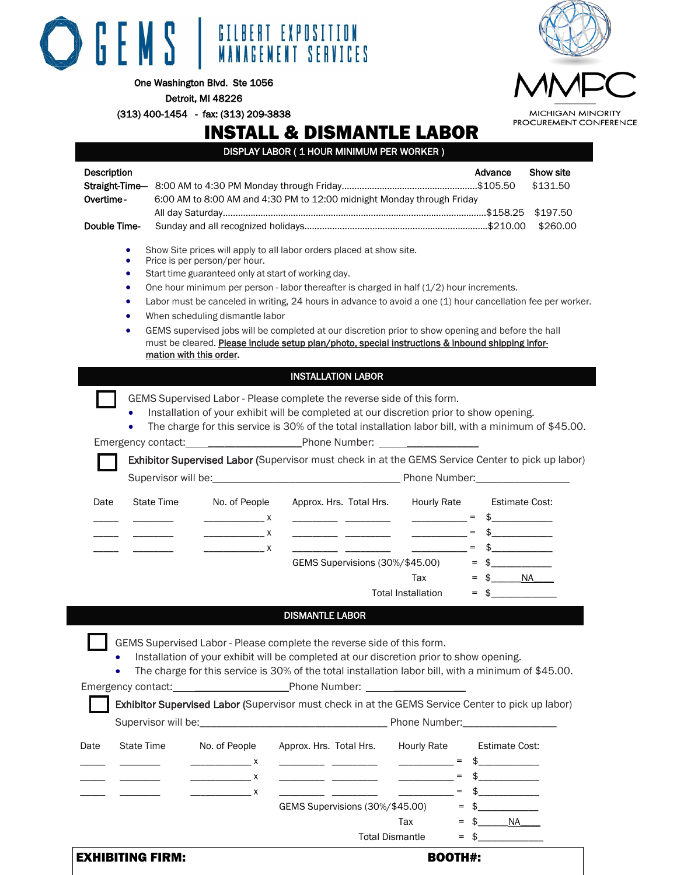

Detroit, MI 48226

(313) 400-1454 - fax: (313) 209-3838

# INSTALL & DISMANTLE LABOR

DISPLAY LABOR ( 1 HOUR MINIMUM PER WORKER )

| Description |                                 |                   |                                                                                                                                                                                                                                                                                                                                                                                                                                                                                                                                                                                                                                                                                                                                                                                                                                                                                                                                                                                                        |                                                                        |                                                                                                                                                                                                                                                                                                                                                                                                                                                                                                                                                                                                                                                                                                                                                                                                                                                      | Advance                                                                                                                       | Show site<br>\$131.50 |
|-------------|---------------------------------|-------------------|--------------------------------------------------------------------------------------------------------------------------------------------------------------------------------------------------------------------------------------------------------------------------------------------------------------------------------------------------------------------------------------------------------------------------------------------------------------------------------------------------------------------------------------------------------------------------------------------------------------------------------------------------------------------------------------------------------------------------------------------------------------------------------------------------------------------------------------------------------------------------------------------------------------------------------------------------------------------------------------------------------|------------------------------------------------------------------------|------------------------------------------------------------------------------------------------------------------------------------------------------------------------------------------------------------------------------------------------------------------------------------------------------------------------------------------------------------------------------------------------------------------------------------------------------------------------------------------------------------------------------------------------------------------------------------------------------------------------------------------------------------------------------------------------------------------------------------------------------------------------------------------------------------------------------------------------------|-------------------------------------------------------------------------------------------------------------------------------|-----------------------|
| Overtime-   |                                 |                   |                                                                                                                                                                                                                                                                                                                                                                                                                                                                                                                                                                                                                                                                                                                                                                                                                                                                                                                                                                                                        |                                                                        | 6:00 AM to 8:00 AM and 4:30 PM to 12:00 midnight Monday through Friday                                                                                                                                                                                                                                                                                                                                                                                                                                                                                                                                                                                                                                                                                                                                                                               |                                                                                                                               |                       |
|             |                                 |                   |                                                                                                                                                                                                                                                                                                                                                                                                                                                                                                                                                                                                                                                                                                                                                                                                                                                                                                                                                                                                        |                                                                        |                                                                                                                                                                                                                                                                                                                                                                                                                                                                                                                                                                                                                                                                                                                                                                                                                                                      |                                                                                                                               | \$197.50              |
|             | Double Time-                    |                   |                                                                                                                                                                                                                                                                                                                                                                                                                                                                                                                                                                                                                                                                                                                                                                                                                                                                                                                                                                                                        |                                                                        |                                                                                                                                                                                                                                                                                                                                                                                                                                                                                                                                                                                                                                                                                                                                                                                                                                                      |                                                                                                                               | \$260.00              |
|             | ٠<br>٠<br>٠<br>۰<br>٠<br>٠<br>٠ |                   | Price is per person/per hour.<br>Start time guaranteed only at start of working day.<br>When scheduling dismantle labor<br>mation with this order.                                                                                                                                                                                                                                                                                                                                                                                                                                                                                                                                                                                                                                                                                                                                                                                                                                                     | Show Site prices will apply to all labor orders placed at show site.   | One hour minimum per person - labor thereafter is charged in half $(1/2)$ hour increments.<br>Labor must be canceled in writing, 24 hours in advance to avoid a one (1) hour cancellation fee per worker.<br>GEMS supervised jobs will be completed at our discretion prior to show opening and before the hall<br>must be cleared. Please include setup plan/photo, special instructions & inbound shipping infor-                                                                                                                                                                                                                                                                                                                                                                                                                                  |                                                                                                                               |                       |
|             |                                 |                   |                                                                                                                                                                                                                                                                                                                                                                                                                                                                                                                                                                                                                                                                                                                                                                                                                                                                                                                                                                                                        | <b>INSTALLATION LABOR</b>                                              |                                                                                                                                                                                                                                                                                                                                                                                                                                                                                                                                                                                                                                                                                                                                                                                                                                                      |                                                                                                                               |                       |
| Date        | $\bullet$<br>$\bullet$          | <b>State Time</b> | No. of People<br>$\frac{1}{2}$ x<br>$\overline{\phantom{a}}$ $\overline{\phantom{a}}$ $\overline{\phantom{a}}$ $\overline{\phantom{a}}$ $\overline{\phantom{a}}$ $\overline{\phantom{a}}$ $\overline{\phantom{a}}$ $\overline{\phantom{a}}$ $\overline{\phantom{a}}$ $\overline{\phantom{a}}$ $\overline{\phantom{a}}$ $\overline{\phantom{a}}$ $\overline{\phantom{a}}$ $\overline{\phantom{a}}$ $\overline{\phantom{a}}$ $\overline{\phantom{a}}$ $\overline{\phantom{a}}$ $\overline{\phantom{a}}$ $\overline{\$<br>$\overline{\phantom{a}}$ $\overline{\phantom{a}}$ $\overline{\phantom{a}}$ $\overline{\phantom{a}}$ $\overline{\phantom{a}}$ $\overline{\phantom{a}}$ $\overline{\phantom{a}}$ $\overline{\phantom{a}}$ $\overline{\phantom{a}}$ $\overline{\phantom{a}}$ $\overline{\phantom{a}}$ $\overline{\phantom{a}}$ $\overline{\phantom{a}}$ $\overline{\phantom{a}}$ $\overline{\phantom{a}}$ $\overline{\phantom{a}}$ $\overline{\phantom{a}}$ $\overline{\phantom{a}}$ $\overline{\$ |                                                                        | GEMS Supervised Labor - Please complete the reverse side of this form.<br>Installation of your exhibit will be completed at our discretion prior to show opening.<br>The charge for this service is 30% of the total installation labor bill, with a minimum of \$45.00.<br>Exhibitor Supervised Labor (Supervisor must check in at the GEMS Service Center to pick up labor)<br>Approx. Hrs. Total Hrs. Hourly Rate<br>$\frac{1}{2}$ = $\frac{1}{2}$ = $\frac{1}{2}$ = $\frac{1}{2}$ = $\frac{1}{2}$ = $\frac{1}{2}$ = $\frac{1}{2}$<br><u> The Community of the Community of the Community of the Community of the Community of the Community of the Community of the Community of the Community of the Community of the Community of the Community of the Community of</u><br>$\sim$ 100 $\mu$ m $\sim$<br>GEMS Supervisions (30%/\$45.00)<br>Tax | <b>Estimate Cost:</b><br>$\frac{1}{2}$<br>$=$<br>$\frac{1}{2}$<br>$\frac{1}{2}$<br>$=$<br>$\frac{1}{2}$<br>$=$<br>$=$ \$ $NA$ |                       |
|             |                                 |                   |                                                                                                                                                                                                                                                                                                                                                                                                                                                                                                                                                                                                                                                                                                                                                                                                                                                                                                                                                                                                        |                                                                        | Total Installation                                                                                                                                                                                                                                                                                                                                                                                                                                                                                                                                                                                                                                                                                                                                                                                                                                   | $\frac{1}{\sqrt{2}}$                                                                                                          |                       |
|             |                                 |                   |                                                                                                                                                                                                                                                                                                                                                                                                                                                                                                                                                                                                                                                                                                                                                                                                                                                                                                                                                                                                        | <b>DISMANTLE LABOR</b>                                                 |                                                                                                                                                                                                                                                                                                                                                                                                                                                                                                                                                                                                                                                                                                                                                                                                                                                      |                                                                                                                               |                       |
|             | ٠                               |                   |                                                                                                                                                                                                                                                                                                                                                                                                                                                                                                                                                                                                                                                                                                                                                                                                                                                                                                                                                                                                        | GEMS Supervised Labor - Please complete the reverse side of this form. | Installation of your exhibit will be completed at our discretion prior to show opening.<br>The charge for this service is 30% of the total installation labor bill, with a minimum of \$45.00.<br>Exhibitor Supervised Labor (Supervisor must check in at the GEMS Service Center to pick up labor)                                                                                                                                                                                                                                                                                                                                                                                                                                                                                                                                                  |                                                                                                                               |                       |
|             |                                 |                   |                                                                                                                                                                                                                                                                                                                                                                                                                                                                                                                                                                                                                                                                                                                                                                                                                                                                                                                                                                                                        |                                                                        |                                                                                                                                                                                                                                                                                                                                                                                                                                                                                                                                                                                                                                                                                                                                                                                                                                                      |                                                                                                                               |                       |
| Date        | State Time                      |                   | No. of People                                                                                                                                                                                                                                                                                                                                                                                                                                                                                                                                                                                                                                                                                                                                                                                                                                                                                                                                                                                          | Approx. Hrs. Total Hrs.                                                | <b>Hourly Rate</b><br>$\frac{1}{1-\frac{1}{1-\frac{1}{1-\frac{1}{1-\frac{1}{1-\frac{1}{1-\frac{1}{1-\frac{1}{1-\frac{1}{1-\frac{1}{1-\frac{1}{1-\frac{1}{1-\frac{1}{1-\frac{1}{1-\frac{1}{1-\frac{1}{1-\frac{1}{1-\frac{1}{1-\frac{1}{1-\frac{1}{1-\frac{1}{1-\frac{1}{1-\frac{1}{1-\frac{1}{1-\frac{1}{1-\frac{1}{1-\frac{1}{1-\frac{1}{1-\frac{1}{1-\frac{1}{1-\frac{1}{1-\frac{1}{1-\frac{1}{1-\frac{1}{1-\frac{1}{1-\frac{1}{1-\frac{1$                                                                                                                                                                                                                                                                                                                                                                                                          | <b>Estimate Cost:</b><br>$\mathfrak{S}$ and $\mathfrak{S}$                                                                    |                       |
|             |                                 |                   |                                                                                                                                                                                                                                                                                                                                                                                                                                                                                                                                                                                                                                                                                                                                                                                                                                                                                                                                                                                                        |                                                                        | $\frac{1}{2}$ = $\frac{1}{2}$ = $\frac{1}{2}$ = $\frac{1}{2}$ = $\frac{1}{2}$ = $\frac{1}{2}$ = $\frac{1}{2}$                                                                                                                                                                                                                                                                                                                                                                                                                                                                                                                                                                                                                                                                                                                                        | $\mathfrak s$                                                                                                                 |                       |
|             |                                 |                   | —————————————— X                                                                                                                                                                                                                                                                                                                                                                                                                                                                                                                                                                                                                                                                                                                                                                                                                                                                                                                                                                                       |                                                                        | <u> The Community of the Community of the Community of the Community of the Community of the Community of the Community of the Community of the Community of the Community of the Community of the Community of the Community of</u>                                                                                                                                                                                                                                                                                                                                                                                                                                                                                                                                                                                                                 | $=$<br>$\frac{1}{2}$                                                                                                          |                       |
|             |                                 |                   |                                                                                                                                                                                                                                                                                                                                                                                                                                                                                                                                                                                                                                                                                                                                                                                                                                                                                                                                                                                                        |                                                                        | GEMS Supervisions (30%/\$45.00)                                                                                                                                                                                                                                                                                                                                                                                                                                                                                                                                                                                                                                                                                                                                                                                                                      | $=$<br>$\frac{1}{2}$                                                                                                          |                       |
|             |                                 |                   |                                                                                                                                                                                                                                                                                                                                                                                                                                                                                                                                                                                                                                                                                                                                                                                                                                                                                                                                                                                                        |                                                                        | Tax                                                                                                                                                                                                                                                                                                                                                                                                                                                                                                                                                                                                                                                                                                                                                                                                                                                  | $=$ \$ $NA$                                                                                                                   |                       |
|             |                                 |                   |                                                                                                                                                                                                                                                                                                                                                                                                                                                                                                                                                                                                                                                                                                                                                                                                                                                                                                                                                                                                        |                                                                        | Total Dismantle                                                                                                                                                                                                                                                                                                                                                                                                                                                                                                                                                                                                                                                                                                                                                                                                                                      | $=$ \$                                                                                                                        |                       |

**MICHIGAN MINORITY** PROCUREMENT CONFERENCE

# BOOTH#: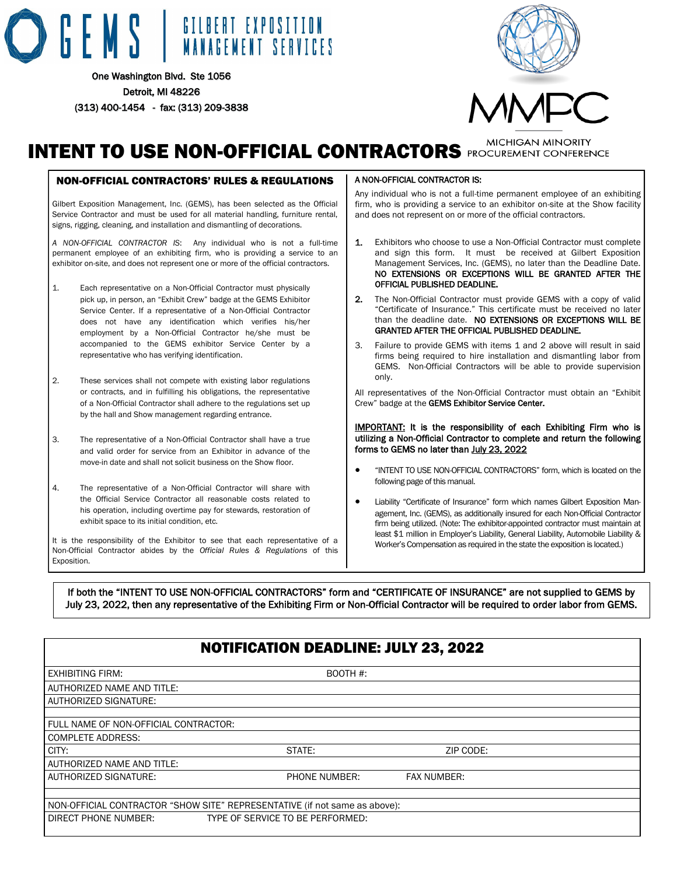# GEMS | GILBERT EXPOSITION

One Washington Blvd. Ste 1056 Detroit, MI 48226 (313) 400-1454 - fax: (313) 209-3838



# **INTENT TO USE NON-OFFICIAL CONTRACTORS** PROCUREMENT CONFERENCE

# NON-OFFICIAL CONTRACTORS' RULES & REGULATIONS

Gilbert Exposition Management, Inc. (GEMS), has been selected as the Official Service Contractor and must be used for all material handling, furniture rental, signs, rigging, cleaning, and installation and dismantling of decorations.

*A NON-OFFICIAL CONTRACTOR IS*: Any individual who is not a full-time permanent employee of an exhibiting firm, who is providing a service to an exhibitor on-site, and does not represent one or more of the official contractors.

- 1. Each representative on a Non-Official Contractor must physically pick up, in person, an "Exhibit Crew" badge at the GEMS Exhibitor Service Center. If a representative of a Non-Official Contractor does not have any identification which verifies his/her employment by a Non-Official Contractor he/she must be accompanied to the GEMS exhibitor Service Center by a representative who has verifying identification.
- 2. These services shall not compete with existing labor regulations or contracts, and in fulfilling his obligations, the representative of a Non-Official Contractor shall adhere to the regulations set up by the hall and Show management regarding entrance.
- 3. The representative of a Non-Official Contractor shall have a true and valid order for service from an Exhibitor in advance of the move-in date and shall not solicit business on the Show floor.
- 4. The representative of a Non-Official Contractor will share with the Official Service Contractor all reasonable costs related to his operation, including overtime pay for stewards, restoration of exhibit space to its initial condition, etc.

It is the responsibility of the Exhibitor to see that each representative of a Non-Official Contractor abides by the *Official Rules & Regulations* of this Exposition.

#### A NON-OFFICIAL CONTRACTOR IS:

Any individual who is not a full-time permanent employee of an exhibiting firm, who is providing a service to an exhibitor on-site at the Show facility and does not represent on or more of the official contractors.

- 1. Exhibitors who choose to use a Non-Official Contractor must complete and sign this form. It must be received at Gilbert Exposition Management Services, Inc. (GEMS), no later than the Deadline Date. NO EXTENSIONS OR EXCEPTIONS WILL BE GRANTED AFTER THE OFFICIAL PUBLISHED DEADLINE.
- 2. The Non-Official Contractor must provide GEMS with a copy of valid "Certificate of Insurance." This certificate must be received no later than the deadline date. NO EXTENSIONS OR EXCEPTIONS WILL BE GRANTED AFTER THE OFFICIAL PUBLISHED DEADLINE.
- 3. Failure to provide GEMS with items 1 and 2 above will result in said firms being required to hire installation and dismantling labor from GEMS. Non-Official Contractors will be able to provide supervision only.

All representatives of the Non-Official Contractor must obtain an "Exhibit Crew" badge at the GEMS Exhibitor Service Center.

#### IMPORTANT: It is the responsibility of each Exhibiting Firm who is utilizing a Non-Official Contractor to complete and return the following forms to GEMS no later than July 23, 2022

- "INTENT TO USE NON-OFFICIAL CONTRACTORS" form, which is located on the following page of this manual.
- Liability "Certificate of Insurance" form which names Gilbert Exposition Management, Inc. (GEMS), as additionally insured for each Non-Official Contractor firm being utilized. (Note: The exhibitor-appointed contractor must maintain at least \$1 million in Employer's Liability, General Liability, Automobile Liability & Worker's Compensation as required in the state the exposition is located.)

If both the "INTENT TO USE NON-OFFICIAL CONTRACTORS" form and "CERTIFICATE OF INSURANCE" are not supplied to GEMS by July 23, 2022, then any representative of the Exhibiting Firm or Non-Official Contractor will be required to order labor from GEMS.

|                                       | <b>NOTIFICATION DEADLINE: JULY 23, 2022</b>                                |             |  |
|---------------------------------------|----------------------------------------------------------------------------|-------------|--|
| <b>EXHIBITING FIRM:</b>               | BOOTH #:                                                                   |             |  |
| <b>LAUTHORIZED NAME AND TITLE:</b>    |                                                                            |             |  |
| <b>LAUTHORIZED SIGNATURE:</b>         |                                                                            |             |  |
|                                       |                                                                            |             |  |
| FULL NAME OF NON-OFFICIAL CONTRACTOR: |                                                                            |             |  |
| COMPLETE ADDRESS:                     |                                                                            |             |  |
| CITY:                                 | STATE:                                                                     | ZIP CODE:   |  |
| <b>AUTHORIZED NAME AND TITLE:</b>     |                                                                            |             |  |
| <b>AUTHORIZED SIGNATURE:</b>          | PHONE NUMBER:                                                              | FAX NUMBER: |  |
|                                       |                                                                            |             |  |
|                                       | NON-OFFICIAL CONTRACTOR "SHOW SITE" REPRESENTATIVE (if not same as above): |             |  |
| I DIRECT PHONE NUMBER:                | TYPE OF SERVICE TO BE PERFORMED:                                           |             |  |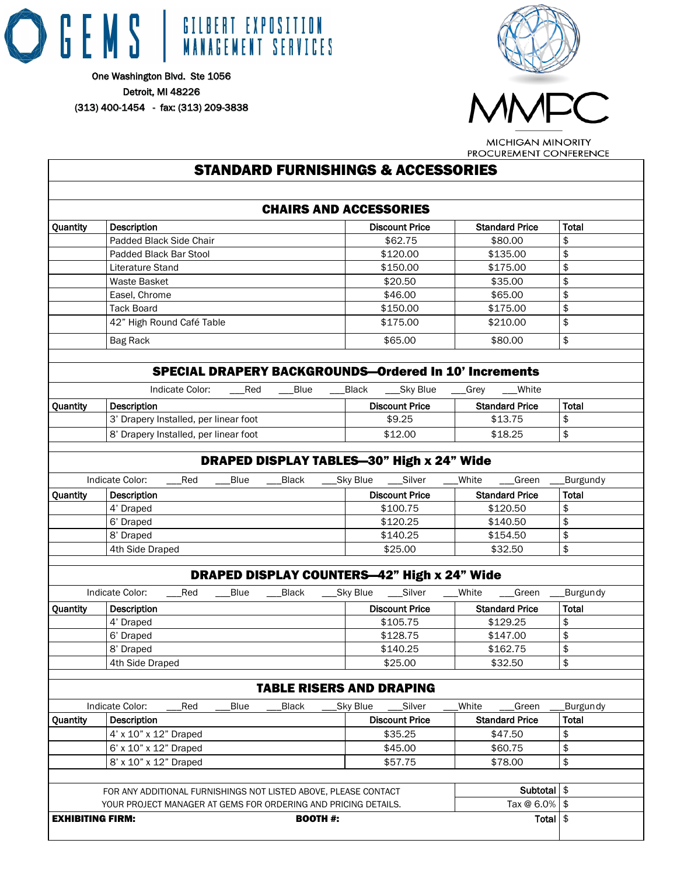



# PROCUREMENT CONFERENCE STANDARD FURNISHINGS & ACCESSORIES CHAIRS AND ACCESSORIES Quantity Description Discount Price Standard Price Total Padded Black Side Chair **\$62.75** \$80.00 \$ Padded Black Bar Stool **\$120.00** \$120.00 \$135.00 \$ Literature Stand \$150.00 \$175.00 \$175.00 Waste Basket \$20.50 \$35.00 \$ Easel, Chrome **\$46.00** \$46.00 \$65.00 \$ Tack Board \$150.00 \$175.00 \$ 42" High Round Café Table  $$175.00$  \$210.00  $$$ 880.00 \$65.00 | \$80.00 \$965.00 \$ SPECIAL DRAPERY BACKGROUNDS—Ordered In 10' Increments Indicate Color: \_\_\_Red \_\_\_Blue \_\_\_Black \_\_\_Sky Blue \_\_\_Grey \_\_\_White Quantity Description Discount Price Standard Price Total 3' Drapery Installed, per linear foot  $$9.25$   $$13.75$   $$$ 8' Drapery Installed, per linear foot \$12.00 \$18.25 \$ DRAPED DISPLAY TABLES—30" High x 24" Wide Indicate Color: \_\_\_Red \_\_\_Blue \_\_\_Black \_\_\_Sky Blue \_\_\_Silver \_\_\_White \_\_\_Green \_\_\_Burgundy Quantity Description **Discount Price Standard Price** Standard Price Total 4' Draped \$100.75 \$120.50 \$ 6' Draped \$120.25 \$140.50 \$ 8' Draped \$140.25 \$154.50 \$ 4th Side Draped  $$25.00$   $$32.50$   $$$ DRAPED DISPLAY COUNTERS—42" High x 24" Wide Indicate Color: \_\_\_Red \_\_\_Blue \_\_\_Black \_\_\_Sky Blue \_\_\_Silver \_\_\_White \_\_\_Green \_\_\_Burgundy Quantity Description **Discount Price Standard Price** Standard Price Total 4' Draped \$105.75 \$129.25 \$ 6' Draped \$128.75 \$147.00 \$ 8' Draped \$140.25 \$162.75 \$ 4th Side Draped **\$25.00** \$32.50 \$32.50 \$ TABLE RISERS AND DRAPING Indicate Color: \_\_\_Red \_\_\_Blue \_\_\_Black \_\_\_Sky Blue \_\_\_Silver \_\_\_White \_\_\_Green \_\_\_Burgundy Quantity Description Discount Price Standard Price Total 4' x 10" x 12" Draped  $\frac{1}{3}$  s 35.25  $\frac{1}{3}$  \$47.50  $\frac{1}{3}$  $6' \times 10'' \times 12''$  Draped  $$45.00$  \$60.75 \$ 8' x 10" x 12" Draped  $\frac{1}{3}$  state  $\frac{1}{3}$  x 10" x 12" Draped  $\frac{1}{3}$ FOR ANY ADDITIONAL FURNISHINGS NOT LISTED ABOVE, PLEASE CONTACT Subtotal \$ YOUR PROJECT MANAGER AT GEMS FOR ORDERING AND PRICING DETAILS. Tax  $@$  6.0% \$ **EXHIBITING FIRM:** Total  $\parallel \mathcal{S}$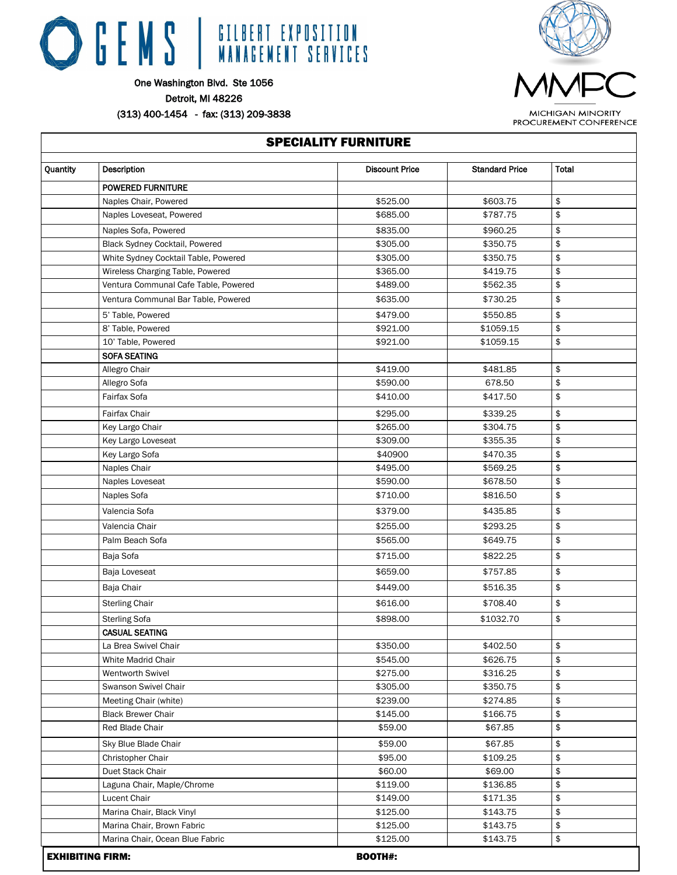

One Washington Blvd. Ste 1056 Detroit, MI 48226

(313) 400-1454 - fax: (313) 209-3838

 $\Gamma$ 

**MICHIGAN MINORITY** PROCUREMENT CONFERENCE

|          | <b>SPECIALITY FURNITURE</b>          |                       |                       |       |  |  |
|----------|--------------------------------------|-----------------------|-----------------------|-------|--|--|
| Quantity | Description                          | <b>Discount Price</b> | <b>Standard Price</b> | Total |  |  |
|          | <b>POWERED FURNITURE</b>             |                       |                       |       |  |  |
|          | Naples Chair, Powered                | \$525.00              | \$603.75              | \$    |  |  |
|          | Naples Loveseat, Powered             | \$685.00              | \$787.75              | \$    |  |  |
|          | Naples Sofa, Powered                 | \$835.00              | \$960.25              | \$    |  |  |
|          | Black Sydney Cocktail, Powered       | \$305.00              | \$350.75              | \$    |  |  |
|          | White Sydney Cocktail Table, Powered | \$305.00              | \$350.75              | \$    |  |  |
|          | Wireless Charging Table, Powered     | \$365.00              | \$419.75              | \$    |  |  |
|          | Ventura Communal Cafe Table, Powered | \$489.00              | \$562.35              | \$    |  |  |
|          | Ventura Communal Bar Table, Powered  | \$635.00              | \$730.25              | \$    |  |  |
|          | 5' Table, Powered                    | \$479.00              | \$550.85              | \$    |  |  |
|          | 8' Table, Powered                    | \$921.00              | \$1059.15             | \$    |  |  |
|          | 10' Table, Powered                   | \$921.00              | \$1059.15             | \$    |  |  |
|          | <b>SOFA SEATING</b>                  |                       |                       |       |  |  |
|          | Allegro Chair                        | \$419.00              | \$481.85              | \$    |  |  |
|          | Allegro Sofa                         | \$590.00              | 678.50                | \$    |  |  |
|          | Fairfax Sofa                         | \$410.00              | \$417.50              | \$    |  |  |
|          | Fairfax Chair                        | \$295.00              | \$339.25              | \$    |  |  |
|          | Key Largo Chair                      | \$265.00              | \$304.75              | \$    |  |  |
|          | Key Largo Loveseat                   | \$309.00              | \$355.35              | \$    |  |  |
|          | Key Largo Sofa                       | \$40900               | \$470.35              | \$    |  |  |
|          | Naples Chair                         | \$495.00              | \$569.25              | \$    |  |  |
|          | Naples Loveseat                      | \$590.00              | \$678.50              | \$    |  |  |
|          | Naples Sofa                          | \$710.00              | \$816.50              | \$    |  |  |
|          | Valencia Sofa                        | \$379.00              | \$435.85              | \$    |  |  |
|          | Valencia Chair                       | \$255.00              | \$293.25              | \$    |  |  |
|          | Palm Beach Sofa                      | \$565.00              | \$649.75              | \$    |  |  |
|          | Baja Sofa                            | \$715.00              | \$822.25              | \$    |  |  |
|          | Baja Loveseat                        | \$659.00              | \$757.85              | \$    |  |  |
|          | Baja Chair                           | \$449.00              | \$516.35              | \$    |  |  |
|          | <b>Sterling Chair</b>                | \$616.00              | \$708.40              | \$    |  |  |
|          | <b>Sterling Sofa</b>                 | \$898.00              | \$1032.70             | \$    |  |  |
|          | CASUAL SEATING                       |                       |                       |       |  |  |
|          | La Brea Swivel Chair                 | \$350.00              | \$402.50              | \$    |  |  |
|          | White Madrid Chair                   | \$545.00              | \$626.75              | \$    |  |  |
|          | Wentworth Swivel                     | \$275.00              | \$316.25              | \$    |  |  |
|          | Swanson Swivel Chair                 | \$305.00              | \$350.75              | \$    |  |  |
|          | Meeting Chair (white)                | \$239.00              | \$274.85              | \$    |  |  |
|          | <b>Black Brewer Chair</b>            | \$145.00              | \$166.75              | \$    |  |  |
|          | Red Blade Chair                      | \$59.00               | \$67.85               | \$    |  |  |
|          | Sky Blue Blade Chair                 | \$59.00               | \$67.85               | \$    |  |  |
|          | Christopher Chair                    | \$95.00               | \$109.25              | \$    |  |  |
|          | Duet Stack Chair                     | \$60.00               | \$69.00               | \$    |  |  |
|          | Laguna Chair, Maple/Chrome           | \$119.00              | \$136.85              | \$    |  |  |
|          | Lucent Chair                         | \$149.00              | \$171.35              | \$    |  |  |
|          | Marina Chair, Black Vinyl            | \$125.00              | \$143.75              | \$    |  |  |
|          | Marina Chair, Brown Fabric           | \$125.00              | \$143.75              | \$    |  |  |
|          | Marina Chair, Ocean Blue Fabric      | \$125.00              | \$143.75              | \$    |  |  |
|          | <b>EXHIBITING FIRM:</b>              | <b>BOOTH#:</b>        |                       |       |  |  |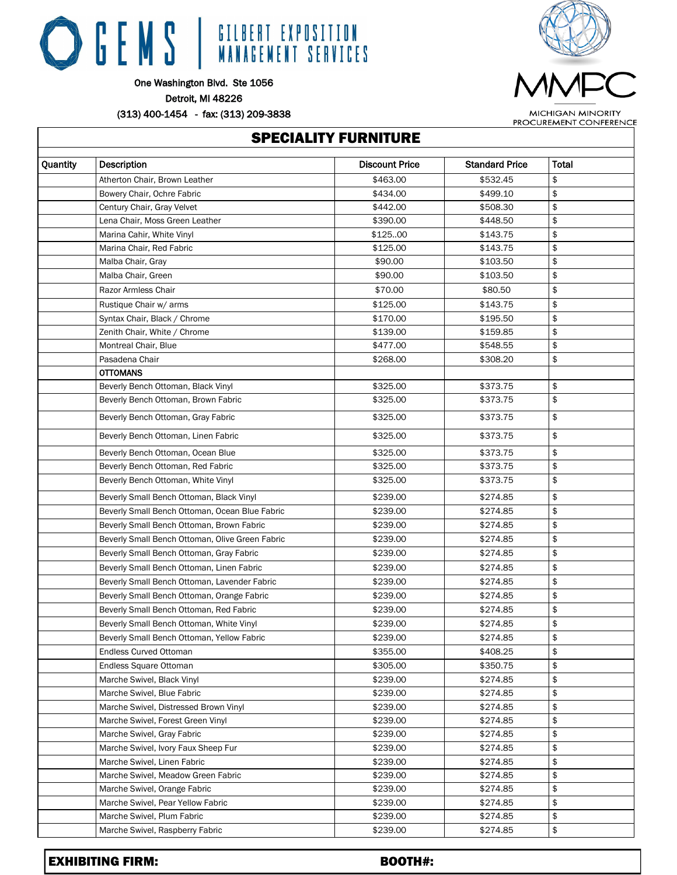

One Washington Blvd. Ste 1056

Detroit, MI 48226

(313) 400-1454 - fax: (313) 209-3838

Г



**MICHIGAN MINORITY** PROCUREMENT CONFERENCE

| <b>SPECIALITY FURNITURE</b> |                                                 |                       |                       |              |  |  |
|-----------------------------|-------------------------------------------------|-----------------------|-----------------------|--------------|--|--|
| Quantity                    | Description                                     | <b>Discount Price</b> | <b>Standard Price</b> | <b>Total</b> |  |  |
|                             | Atherton Chair, Brown Leather                   | \$463.00              | \$532.45              | \$           |  |  |
|                             | Bowery Chair, Ochre Fabric                      | \$434.00              | \$499.10              | \$           |  |  |
|                             | Century Chair, Gray Velvet                      | \$442.00              | \$508.30              | \$           |  |  |
|                             | Lena Chair, Moss Green Leather                  | \$390.00              | \$448.50              | \$           |  |  |
|                             | Marina Cahir, White Vinyl                       | \$125.00              | \$143.75              | \$           |  |  |
|                             | Marina Chair, Red Fabric                        | \$125.00              | \$143.75              | \$           |  |  |
|                             | Malba Chair, Gray                               | \$90.00               | \$103.50              | \$           |  |  |
|                             | Malba Chair, Green                              | \$90.00               | \$103.50              | \$           |  |  |
|                             | Razor Armless Chair                             | \$70.00               | \$80.50               | \$           |  |  |
|                             | Rustique Chair w/ arms                          | \$125.00              | \$143.75              | \$           |  |  |
|                             | Syntax Chair, Black / Chrome                    | \$170.00              | \$195.50              | \$           |  |  |
|                             | Zenith Chair, White / Chrome                    | \$139.00              | \$159.85              | \$           |  |  |
|                             | Montreal Chair, Blue                            | \$477.00              | \$548.55              | \$           |  |  |
|                             | Pasadena Chair                                  | \$268.00              | \$308.20              | \$           |  |  |
|                             | <b>OTTOMANS</b>                                 |                       |                       |              |  |  |
|                             | Beverly Bench Ottoman, Black Vinyl              | \$325.00              | \$373.75              | \$           |  |  |
|                             | Beverly Bench Ottoman, Brown Fabric             | \$325.00              | \$373.75              | \$           |  |  |
|                             | Beverly Bench Ottoman, Gray Fabric              | \$325.00              | \$373.75              | \$           |  |  |
|                             | Beverly Bench Ottoman, Linen Fabric             | \$325.00              | \$373.75              | \$           |  |  |
|                             | Beverly Bench Ottoman, Ocean Blue               | \$325.00              | \$373.75              | \$           |  |  |
|                             | Beverly Bench Ottoman, Red Fabric               | \$325.00              | \$373.75              | \$           |  |  |
|                             | Beverly Bench Ottoman, White Vinyl              | \$325.00              | \$373.75              | \$           |  |  |
|                             | Beverly Small Bench Ottoman, Black Vinyl        | \$239.00              | \$274.85              | \$           |  |  |
|                             | Beverly Small Bench Ottoman, Ocean Blue Fabric  | \$239.00              | \$274.85              | \$           |  |  |
|                             | Beverly Small Bench Ottoman, Brown Fabric       | \$239.00              | \$274.85              | \$           |  |  |
|                             | Beverly Small Bench Ottoman, Olive Green Fabric | \$239.00              | \$274.85              | \$           |  |  |
|                             | Beverly Small Bench Ottoman, Gray Fabric        | \$239.00              | \$274.85              | \$           |  |  |
|                             | Beverly Small Bench Ottoman, Linen Fabric       | \$239.00              | \$274.85              | \$           |  |  |
|                             | Beverly Small Bench Ottoman, Lavender Fabric    | \$239.00              | \$274.85              | \$           |  |  |
|                             | Beverly Small Bench Ottoman, Orange Fabric      | \$239.00              | \$274.85              | \$           |  |  |
|                             | Beverly Small Bench Ottoman, Red Fabric         | \$239.00              | \$274.85              | \$           |  |  |
|                             | Beverly Small Bench Ottoman, White Vinyl        | \$239.00              | \$274.85              | \$           |  |  |
|                             | Beverly Small Bench Ottoman, Yellow Fabric      | \$239.00              | \$274.85              | \$           |  |  |
|                             | <b>Endless Curved Ottoman</b>                   | \$355.00              | \$408.25              | \$           |  |  |
|                             | Endless Square Ottoman                          | \$305.00              | \$350.75              | \$           |  |  |
|                             | Marche Swivel, Black Vinyl                      | \$239.00              | \$274.85              | \$           |  |  |
|                             | Marche Swivel, Blue Fabric                      | \$239.00              | \$274.85              | \$           |  |  |
|                             | Marche Swivel, Distressed Brown Vinyl           | \$239.00              | \$274.85              | \$           |  |  |
|                             | Marche Swivel, Forest Green Vinyl               | \$239.00              | \$274.85              | \$           |  |  |
|                             | Marche Swivel, Gray Fabric                      | \$239.00              | \$274.85              | \$           |  |  |
|                             | Marche Swivel, Ivory Faux Sheep Fur             | \$239.00              | \$274.85              | \$           |  |  |
|                             | Marche Swivel, Linen Fabric                     | \$239.00              | \$274.85              | \$           |  |  |
|                             | Marche Swivel, Meadow Green Fabric              | \$239.00              | \$274.85              | \$           |  |  |
|                             | Marche Swivel, Orange Fabric                    | \$239.00              | \$274.85              | \$           |  |  |
|                             | Marche Swivel, Pear Yellow Fabric               | \$239.00              | \$274.85              | \$           |  |  |
|                             | Marche Swivel, Plum Fabric                      | \$239.00              | \$274.85              | \$           |  |  |
|                             | Marche Swivel, Raspberry Fabric                 | \$239.00              | \$274.85              | \$           |  |  |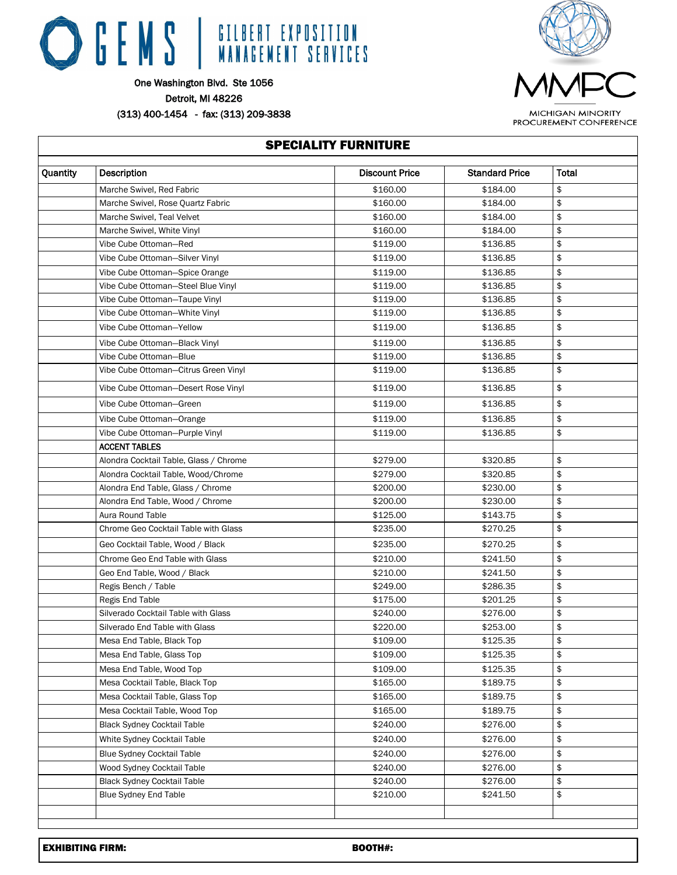

 $\overline{1}$ 



MICHIGAN MINORITY PROCUREMENT CONFERENCE

| Quantity | Description                            | <b>Discount Price</b> | <b>Standard Price</b> | Total |  |
|----------|----------------------------------------|-----------------------|-----------------------|-------|--|
|          | Marche Swivel, Red Fabric              | \$160.00              | \$184.00              | \$    |  |
|          | Marche Swivel, Rose Quartz Fabric      | \$160.00              | \$184.00              | \$    |  |
|          | Marche Swivel, Teal Velvet             | \$160.00              | \$184.00              | \$    |  |
|          | Marche Swivel, White Vinyl             | \$160.00              | \$184.00              | \$    |  |
|          | Vibe Cube Ottoman-Red                  | \$119.00              | \$136.85              | \$    |  |
|          | Vibe Cube Ottoman-Silver Vinyl         | \$119.00              | \$136.85              | \$    |  |
|          | Vibe Cube Ottoman-Spice Orange         | \$119.00              | \$136.85              | \$    |  |
|          | Vibe Cube Ottoman-Steel Blue Vinyl     | \$119.00              | \$136.85              | \$    |  |
|          | Vibe Cube Ottoman-Taupe Vinyl          | \$119.00              | \$136.85              | \$    |  |
|          | Vibe Cube Ottoman-White Vinyl          | \$119.00              | \$136.85              | \$    |  |
|          | Vibe Cube Ottoman-Yellow               | \$119.00              | \$136.85              | \$    |  |
|          | Vibe Cube Ottoman-Black Vinyl          | \$119.00              | \$136.85              | \$    |  |
|          | Vibe Cube Ottoman-Blue                 | \$119.00              | \$136.85              | \$    |  |
|          | Vibe Cube Ottoman-Citrus Green Vinyl   | \$119.00              | \$136.85              | \$    |  |
|          | Vibe Cube Ottoman-Desert Rose Vinyl    | \$119.00              | \$136.85              | \$    |  |
|          | Vibe Cube Ottoman-Green                | \$119.00              | \$136.85              | \$    |  |
|          | Vibe Cube Ottoman-Orange               | \$119.00              | \$136.85              | \$    |  |
|          | Vibe Cube Ottoman-Purple Vinyl         | \$119.00              | \$136.85              | \$    |  |
|          | <b>ACCENT TABLES</b>                   |                       |                       |       |  |
|          | Alondra Cocktail Table, Glass / Chrome | \$279.00              | \$320.85              | \$    |  |
|          | Alondra Cocktail Table, Wood/Chrome    | \$279.00              | \$320.85              | \$    |  |
|          | Alondra End Table, Glass / Chrome      | \$200.00              | \$230.00              | \$    |  |
|          | Alondra End Table, Wood / Chrome       | \$200.00              | \$230.00              | \$    |  |
|          | Aura Round Table                       | \$125.00              | \$143.75              | \$    |  |
|          | Chrome Geo Cocktail Table with Glass   | \$235.00              | \$270.25              | \$    |  |
|          | Geo Cocktail Table, Wood / Black       | \$235.00              | \$270.25              | \$    |  |
|          | Chrome Geo End Table with Glass        | \$210.00              | \$241.50              | \$    |  |
|          | Geo End Table, Wood / Black            | \$210.00              | \$241.50              | \$    |  |
|          | Regis Bench / Table                    | \$249.00              | \$286.35              | \$    |  |
|          | Regis End Table                        | \$175.00              | \$201.25              | \$    |  |
|          | Silverado Cocktail Table with Glass    | \$240.00              | \$276.00              | \$    |  |
|          | Silverado End Table with Glass         | \$220.00              | \$253.00              | \$    |  |
|          | Mesa End Table, Black Top              | \$109.00              | \$125.35              | \$    |  |
|          | Mesa End Table, Glass Top              | \$109.00              | \$125.35              | \$    |  |
|          | Mesa End Table, Wood Top               | \$109.00              | \$125.35              | \$    |  |
|          | Mesa Cocktail Table, Black Top         | \$165.00              | \$189.75              | \$    |  |
|          | Mesa Cocktail Table, Glass Top         | \$165.00              | \$189.75              | \$    |  |
|          | Mesa Cocktail Table, Wood Top          | \$165.00              | \$189.75              | \$    |  |
|          | <b>Black Sydney Cocktail Table</b>     | \$240.00              | \$276.00              | \$    |  |
|          | White Sydney Cocktail Table            | \$240.00              | \$276.00              | \$    |  |
|          | <b>Blue Sydney Cocktail Table</b>      | \$240.00              | \$276.00              | \$    |  |
|          | Wood Sydney Cocktail Table             | \$240.00              | \$276.00              | \$    |  |
|          | <b>Black Sydney Cocktail Table</b>     | \$240.00              | \$276.00              | \$    |  |
|          | <b>Blue Sydney End Table</b>           | \$210.00              | \$241.50              | \$    |  |
|          |                                        |                       |                       |       |  |
|          |                                        |                       |                       |       |  |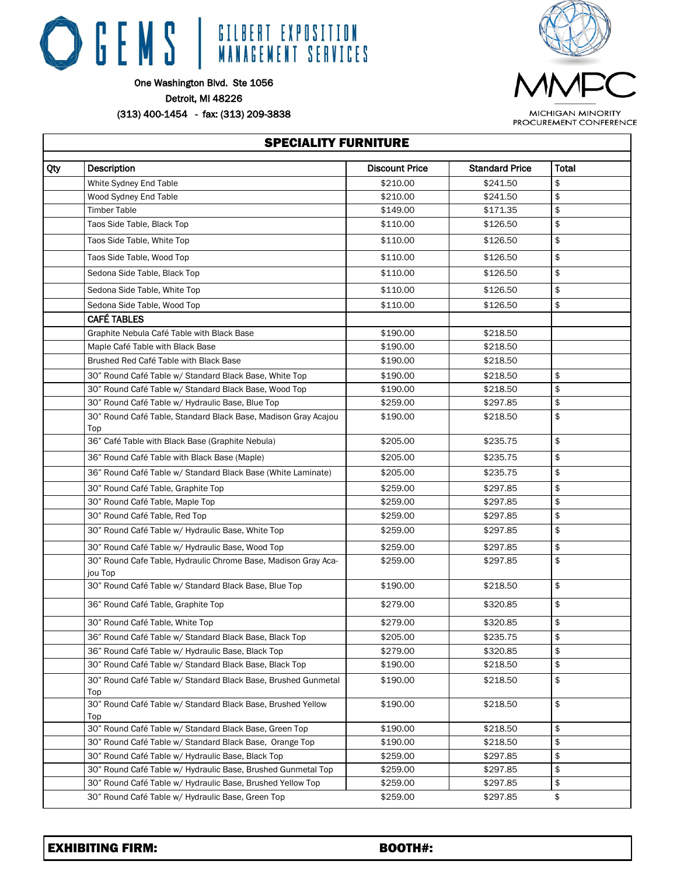



One Washington Blvd. Ste 1056

Detroit, MI 48226

(313) 400-1454 - fax: (313) 209-3838

| <b>MICHIGAN MINORITY</b> |  |
|--------------------------|--|
| PROCUREMENT CONFERENCE   |  |

|     | <b>SPECIALITY FURNITURE</b>                                               |                       |                       |              |  |
|-----|---------------------------------------------------------------------------|-----------------------|-----------------------|--------------|--|
| Qty | <b>Description</b>                                                        | <b>Discount Price</b> | <b>Standard Price</b> | <b>Total</b> |  |
|     | White Sydney End Table                                                    | \$210.00              | \$241.50              | \$           |  |
|     | Wood Sydney End Table                                                     | \$210.00              | \$241.50              | \$           |  |
|     | <b>Timber Table</b>                                                       | \$149.00              | \$171.35              | \$           |  |
|     | Taos Side Table, Black Top                                                | \$110.00              | \$126.50              | \$           |  |
|     | Taos Side Table, White Top                                                | \$110.00              | \$126.50              | \$           |  |
|     | Taos Side Table, Wood Top                                                 | \$110.00              | \$126.50              | \$           |  |
|     | Sedona Side Table, Black Top                                              | \$110.00              | \$126.50              | \$           |  |
|     | Sedona Side Table, White Top                                              | \$110.00              | \$126.50              | \$           |  |
|     | Sedona Side Table, Wood Top                                               | \$110.00              | \$126.50              | \$           |  |
|     | <b>CAFÉ TABLES</b>                                                        |                       |                       |              |  |
|     | Graphite Nebula Café Table with Black Base                                | \$190.00              | \$218.50              |              |  |
|     | Maple Café Table with Black Base                                          | \$190.00              | \$218.50              |              |  |
|     | Brushed Red Café Table with Black Base                                    | \$190.00              | \$218.50              |              |  |
|     | 30" Round Café Table w/ Standard Black Base, White Top                    | \$190.00              | \$218.50              | \$           |  |
|     | 30" Round Café Table w/ Standard Black Base, Wood Top                     | \$190.00              | \$218.50              | \$           |  |
|     | 30" Round Café Table w/ Hydraulic Base, Blue Top                          | \$259.00              | \$297.85              | \$           |  |
|     | 30" Round Café Table, Standard Black Base, Madison Gray Acajou<br>Top     | \$190.00              | \$218.50              | \$           |  |
|     | 36" Café Table with Black Base (Graphite Nebula)                          | \$205.00              | \$235.75              | \$           |  |
|     | 36" Round Café Table with Black Base (Maple)                              | \$205.00              | \$235.75              | \$           |  |
|     | 36" Round Café Table w/ Standard Black Base (White Laminate)              | \$205.00              | \$235.75              | \$           |  |
|     | 30" Round Café Table, Graphite Top                                        | \$259.00              | \$297.85              | \$           |  |
|     | 30" Round Café Table, Maple Top                                           | \$259.00              | \$297.85              | \$           |  |
|     | 30" Round Café Table, Red Top                                             | \$259.00              | \$297.85              | \$           |  |
|     | 30" Round Café Table w/ Hydraulic Base, White Top                         | \$259.00              | \$297.85              | \$           |  |
|     | 30" Round Café Table w/ Hydraulic Base, Wood Top                          | \$259.00              | \$297.85              | \$           |  |
|     | 30" Round Cafe Table, Hydraulic Chrome Base, Madison Gray Aca-<br>jou Top | \$259.00              | \$297.85              | \$           |  |
|     | 30" Round Café Table w/ Standard Black Base, Blue Top                     | \$190.00              | \$218.50              | \$           |  |
|     | 36" Round Café Table, Graphite Top                                        | \$279.00              | \$320.85              | \$           |  |
|     | 30" Round Café Table, White Top                                           | \$279.00              | \$320.85              | \$           |  |
|     | 36" Round Café Table w/ Standard Black Base, Black Top                    | \$205.00              | \$235.75              | \$           |  |
|     | 36" Round Café Table w/ Hydraulic Base, Black Top                         | \$279.00              | \$320.85              | \$           |  |
|     | 30" Round Café Table w/ Standard Black Base, Black Top                    | \$190.00              | \$218.50              | \$           |  |
|     | 30" Round Café Table w/ Standard Black Base, Brushed Gunmetal<br>Top      | \$190.00              | \$218.50              | \$           |  |
|     | 30" Round Café Table w/ Standard Black Base, Brushed Yellow<br>Top        | \$190.00              | \$218.50              | \$           |  |
|     | 30" Round Café Table w/ Standard Black Base, Green Top                    | \$190.00              | \$218.50              | \$           |  |
|     | 30" Round Café Table w/ Standard Black Base, Orange Top                   | \$190.00              | \$218.50              | \$           |  |
|     | 30" Round Café Table w/ Hydraulic Base, Black Top                         | \$259.00              | \$297.85              | \$           |  |
|     | 30" Round Café Table w/ Hydraulic Base, Brushed Gunmetal Top              | \$259.00              | \$297.85              | \$           |  |
|     | 30" Round Café Table w/ Hydraulic Base, Brushed Yellow Top                | \$259.00              | \$297.85              | \$           |  |
|     | 30" Round Café Table w/ Hydraulic Base, Green Top                         | \$259.00              | \$297.85              | \$           |  |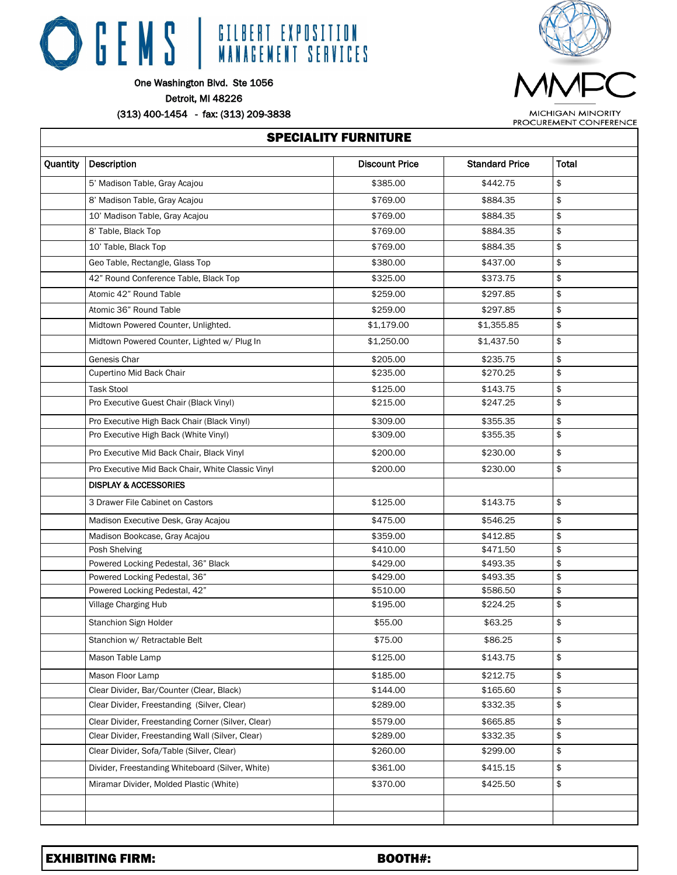

One Washington Blvd. Ste 1056

Detroit, MI 48226

 $\Gamma$ 

(313) 400-1454 - fax: (313) 209-3838



**MICHIGAN MINORITY** PROCUREMENT CONFERENCE

|          | <b>SPECIALITY FURNITURE</b><br>Description<br><b>Discount Price</b><br><b>Standard Price</b><br>Total<br>\$<br>\$385.00<br>5' Madison Table, Gray Acajou<br>\$442.75 |            |            |    |
|----------|----------------------------------------------------------------------------------------------------------------------------------------------------------------------|------------|------------|----|
| Quantity |                                                                                                                                                                      |            |            |    |
|          |                                                                                                                                                                      |            |            |    |
|          | 8' Madison Table, Gray Acajou                                                                                                                                        | \$769.00   | \$884.35   | \$ |
|          | 10' Madison Table, Gray Acajou                                                                                                                                       | \$769.00   | \$884.35   | \$ |
|          | 8' Table, Black Top                                                                                                                                                  | \$769.00   | \$884.35   | \$ |
|          | 10' Table, Black Top                                                                                                                                                 | \$769.00   | \$884.35   | \$ |
|          | Geo Table, Rectangle, Glass Top                                                                                                                                      | \$380.00   | \$437.00   | \$ |
|          | 42" Round Conference Table, Black Top                                                                                                                                | \$325.00   | \$373.75   | \$ |
|          | Atomic 42" Round Table                                                                                                                                               | \$259.00   | \$297.85   | \$ |
|          | Atomic 36" Round Table                                                                                                                                               | \$259.00   | \$297.85   | \$ |
|          | Midtown Powered Counter, Unlighted.                                                                                                                                  | \$1,179.00 | \$1,355.85 | \$ |
|          | Midtown Powered Counter, Lighted w/ Plug In                                                                                                                          | \$1,250.00 | \$1,437.50 | \$ |
|          | Genesis Char                                                                                                                                                         | \$205.00   | \$235.75   | \$ |
|          | Cupertino Mid Back Chair                                                                                                                                             | \$235.00   | \$270.25   | \$ |
|          | <b>Task Stool</b>                                                                                                                                                    | \$125.00   | \$143.75   | \$ |
|          | Pro Executive Guest Chair (Black Vinyl)                                                                                                                              | \$215.00   | \$247.25   | \$ |
|          | Pro Executive High Back Chair (Black Vinyl)                                                                                                                          | \$309.00   | \$355.35   | \$ |
|          | Pro Executive High Back (White Vinyl)                                                                                                                                | \$309.00   | \$355.35   | \$ |
|          | Pro Executive Mid Back Chair, Black Vinyl                                                                                                                            | \$200.00   | \$230.00   | \$ |
|          | Pro Executive Mid Back Chair, White Classic Vinyl                                                                                                                    | \$200.00   | \$230.00   | \$ |
|          | <b>DISPLAY &amp; ACCESSORIES</b>                                                                                                                                     |            |            |    |
|          | 3 Drawer File Cabinet on Castors                                                                                                                                     | \$125.00   | \$143.75   | \$ |
|          | Madison Executive Desk, Gray Acajou                                                                                                                                  | \$475.00   | \$546.25   | \$ |
|          | Madison Bookcase, Gray Acajou                                                                                                                                        | \$359.00   | \$412.85   | \$ |
|          | Posh Shelving                                                                                                                                                        | \$410.00   | \$471.50   | \$ |
|          | Powered Locking Pedestal, 36" Black                                                                                                                                  | \$429.00   | \$493.35   | \$ |
|          | Powered Locking Pedestal, 36"                                                                                                                                        | \$429.00   | \$493.35   | \$ |
|          | Powered Locking Pedestal, 42"                                                                                                                                        | \$510.00   | \$586.50   | \$ |
|          | Village Charging Hub                                                                                                                                                 | \$195.00   | \$224.25   | \$ |
|          | Stanchion Sign Holder                                                                                                                                                | \$55.00    | \$63.25    | \$ |
|          | Stanchion w/ Retractable Belt                                                                                                                                        | \$75.00    | \$86.25    | \$ |
|          | Mason Table Lamp                                                                                                                                                     | \$125.00   | \$143.75   | \$ |
|          | Mason Floor Lamp                                                                                                                                                     | \$185.00   | \$212.75   | \$ |
|          | Clear Divider, Bar/Counter (Clear, Black)                                                                                                                            | \$144.00   | \$165.60   | \$ |
|          | Clear Divider, Freestanding (Silver, Clear)                                                                                                                          | \$289.00   | \$332.35   | \$ |
|          | Clear Divider, Freestanding Corner (Silver, Clear)                                                                                                                   | \$579.00   | \$665.85   | \$ |
|          | Clear Divider, Freestanding Wall (Silver, Clear)                                                                                                                     | \$289.00   | \$332.35   | \$ |
|          | Clear Divider, Sofa/Table (Silver, Clear)                                                                                                                            | \$260.00   | \$299.00   | \$ |
|          | Divider, Freestanding Whiteboard (Silver, White)                                                                                                                     | \$361.00   | \$415.15   | \$ |
|          | Miramar Divider, Molded Plastic (White)                                                                                                                              | \$370.00   | \$425.50   | \$ |
|          |                                                                                                                                                                      |            |            |    |
|          |                                                                                                                                                                      |            |            |    |
|          |                                                                                                                                                                      |            |            |    |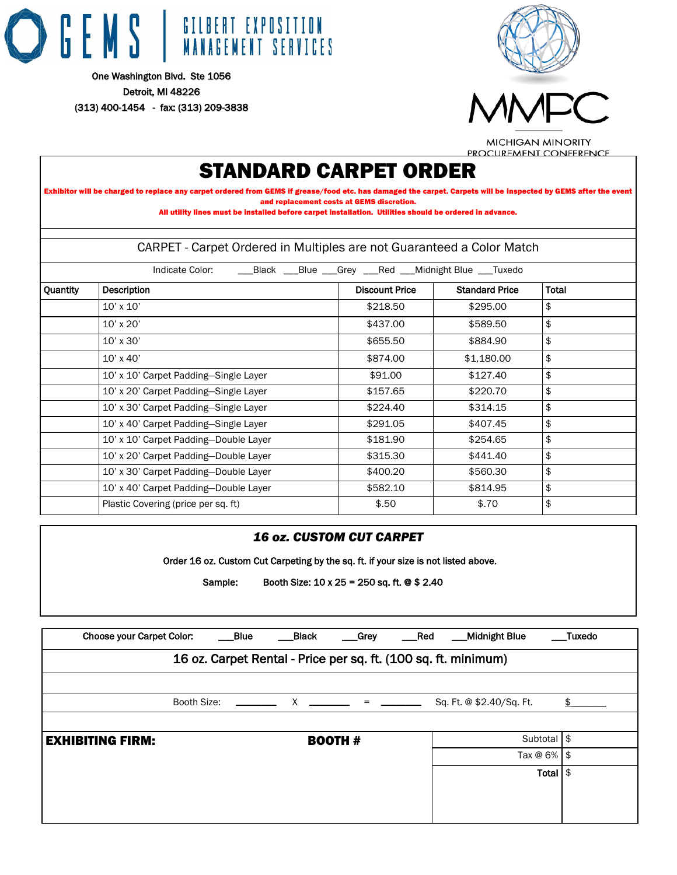





**MICHIGAN MINORITY** PROCUREMENT CONFERENCE

# STANDARD CARPET ORDER

Exhibitor will be charged to replace any carpet ordered from GEMS if grease/food etc. has damaged the carpet. Carpets will be inspected by GEMS after the event and replacement costs at GEMS discretion.

All utility lines must be installed before carpet installation. Utilities should be ordered in advance.

| CARPET - Carpet Ordered in Multiples are not Guaranteed a Color Match |                                                                         |                       |                       |       |  |  |  |  |
|-----------------------------------------------------------------------|-------------------------------------------------------------------------|-----------------------|-----------------------|-------|--|--|--|--|
|                                                                       | Indicate Color:<br>__Black __Blue __Grey __Red __Midnight Blue __Tuxedo |                       |                       |       |  |  |  |  |
| Quantity                                                              | Description                                                             | <b>Discount Price</b> | <b>Standard Price</b> | Total |  |  |  |  |
|                                                                       | $10'$ x $10'$                                                           | \$218.50              | \$295.00              | \$    |  |  |  |  |
|                                                                       | 10' x 20'                                                               | \$437.00              | \$589.50              | \$    |  |  |  |  |
|                                                                       | 10' x 30'                                                               | \$655.50              | \$884.90              | \$    |  |  |  |  |
|                                                                       | $10'$ x $40'$                                                           | \$874.00              | \$1,180.00            | \$    |  |  |  |  |
|                                                                       | 10' x 10' Carpet Padding-Single Layer                                   | \$91.00               | \$127.40              | \$    |  |  |  |  |
|                                                                       | 10' x 20' Carpet Padding-Single Layer                                   | \$157.65              | \$220.70              | \$    |  |  |  |  |
|                                                                       | 10' x 30' Carpet Padding-Single Layer                                   | \$224.40              | \$314.15              | \$    |  |  |  |  |
|                                                                       | 10' x 40' Carpet Padding-Single Layer                                   | \$291.05              | \$407.45              | \$    |  |  |  |  |
|                                                                       | 10' x 10' Carpet Padding-Double Layer                                   | \$181.90              | \$254.65              | \$    |  |  |  |  |
|                                                                       | 10' x 20' Carpet Padding-Double Layer                                   | \$315.30              | \$441.40              | \$    |  |  |  |  |
|                                                                       | 10' x 30' Carpet Padding-Double Layer                                   | \$400.20              | \$560.30              | \$    |  |  |  |  |
|                                                                       | 10' x 40' Carpet Padding-Double Layer                                   | \$582.10              | \$814.95              | \$    |  |  |  |  |
|                                                                       | Plastic Covering (price per sq. ft)                                     | \$.50                 | \$.70                 | \$    |  |  |  |  |

# *16 oz. CUSTOM CUT CARPET*  Order 16 oz. Custom Cut Carpeting by the sq. ft. if your size is not listed above. Sample: Booth Size: 10 x 25 = 250 sq. ft. @ \$ 2.40 Choose your Carpet Color: \_\_\_\_\_Blue \_\_\_\_\_Black \_\_\_\_Grey \_\_\_\_Red \_\_\_\_Midnight Blue \_\_\_\_Tuxedo 16 oz. Carpet Rental - Price per sq. ft. (100 sq. ft. minimum) Booth Size: \_\_\_\_\_\_\_ X \_\_\_\_\_\_\_ = \_\_\_\_\_ Sq. Ft. @ \$2.40/Sq. Ft.  $\frac{\$}{}$ EXHIBITING FIRM: BOOTH # Subtotal \$ Tax  $@$  6%  $$$ Total \$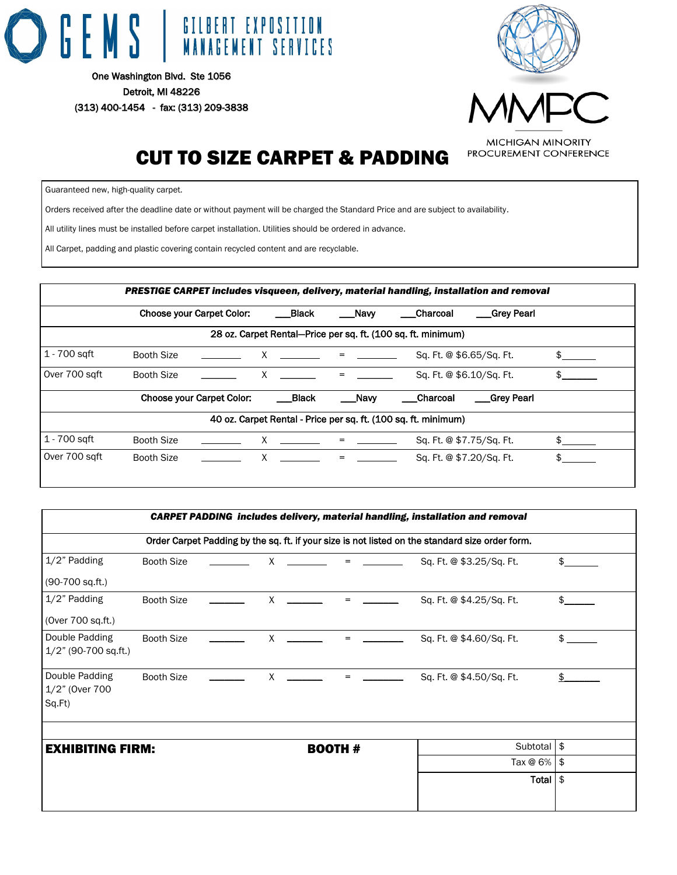



# CUT TO SIZE CARPET & PADDING

Guaranteed new, high-quality carpet.

Orders received after the deadline date or without payment will be charged the Standard Price and are subject to availability.

All utility lines must be installed before carpet installation. Utilities should be ordered in advance.

All Carpet, padding and plastic covering contain recycled content and are recyclable.

|                |                   |                                  |                  |         | PRESTIGE CARPET includes visqueen, delivery, material handling, installation and removal |  |
|----------------|-------------------|----------------------------------|------------------|---------|------------------------------------------------------------------------------------------|--|
|                |                   | <b>Choose your Carpet Color:</b> | Black            | Naw     | Charcoal<br>_Grey Pearl                                                                  |  |
|                |                   |                                  |                  |         | 28 oz. Carpet Rental-Price per sq. ft. (100 sq. ft. minimum)                             |  |
| 1 - 700 sqft   | <b>Booth Size</b> |                                  | $X \t = \t -$    |         | Sq. Ft. @ \$6.65/Sq. Ft.                                                                 |  |
| Over 700 sqft  | Booth Size        |                                  | $X \quad \qquad$ | $=$     | Sq. Ft. @ \$6.10/Sq. Ft.                                                                 |  |
|                |                   | <b>Choose your Carpet Color:</b> | <b>Black</b>     | ___Navy | Charcoal<br>_Grey Pearl                                                                  |  |
|                |                   |                                  |                  |         | 40 oz. Carpet Rental - Price per sq. ft. (100 sq. ft. minimum)                           |  |
| $1 - 700$ sqft | <b>Booth Size</b> |                                  | X                | $=$     | Sq. Ft. @ \$7.75/Sq. Ft.                                                                 |  |
| Over 700 saft  | <b>Booth Size</b> |                                  | $X \sim$         | $=$     | Sq. Ft. @ \$7.20/Sq. Ft.                                                                 |  |

|                                            |                                                                                                 |  |                                    |                |                                            | <b>CARPET PADDING</b> includes delivery, material handling, installation and removal |              |
|--------------------------------------------|-------------------------------------------------------------------------------------------------|--|------------------------------------|----------------|--------------------------------------------|--------------------------------------------------------------------------------------|--------------|
|                                            | Order Carpet Padding by the sq. ft. if your size is not listed on the standard size order form. |  |                                    |                |                                            |                                                                                      |              |
| 1/2" Padding                               | Booth Size                                                                                      |  | X                                  |                |                                            | Sq. Ft. @ \$3.25/Sq. Ft.                                                             | \$.          |
| (90-700 sq.ft.)                            |                                                                                                 |  |                                    |                |                                            |                                                                                      |              |
| 1/2" Padding                               | Booth Size                                                                                      |  | $X \quad \underline{\hspace{1cm}}$ |                | $\equiv$ 100 $\pm$ 100 $\pm$               | Sq. Ft. @ \$4.25/Sq. Ft.                                                             | \$           |
| (Over 700 sq.ft.)                          |                                                                                                 |  |                                    |                |                                            |                                                                                      |              |
| Double Padding<br>$1/2$ " (90-700 sq.ft.)  | Booth Size                                                                                      |  | $\mathsf{X}$                       |                | $\mathbf{r} = \mathbf{r} \cdot \mathbf{r}$ | Sq. Ft. @ \$4.60/Sq. Ft.                                                             | $\mathsf{s}$ |
| Double Padding<br>1/2" (Over 700<br>Sq.Ft) | <b>Booth Size</b>                                                                               |  | X                                  |                | $\equiv$ 100 $\pm$ 100 $\pm$ 100 $\pm$     | Sq. Ft. @ \$4.50/Sq. Ft.                                                             | \$           |
|                                            |                                                                                                 |  |                                    |                |                                            |                                                                                      |              |
| <b>EXHIBITING FIRM:</b>                    |                                                                                                 |  |                                    | <b>BOOTH #</b> |                                            | Subtotal \$                                                                          |              |
|                                            |                                                                                                 |  |                                    |                |                                            | Tax $@6\%$ \$                                                                        |              |
|                                            |                                                                                                 |  |                                    |                |                                            | Total $\frac{1}{2}$                                                                  |              |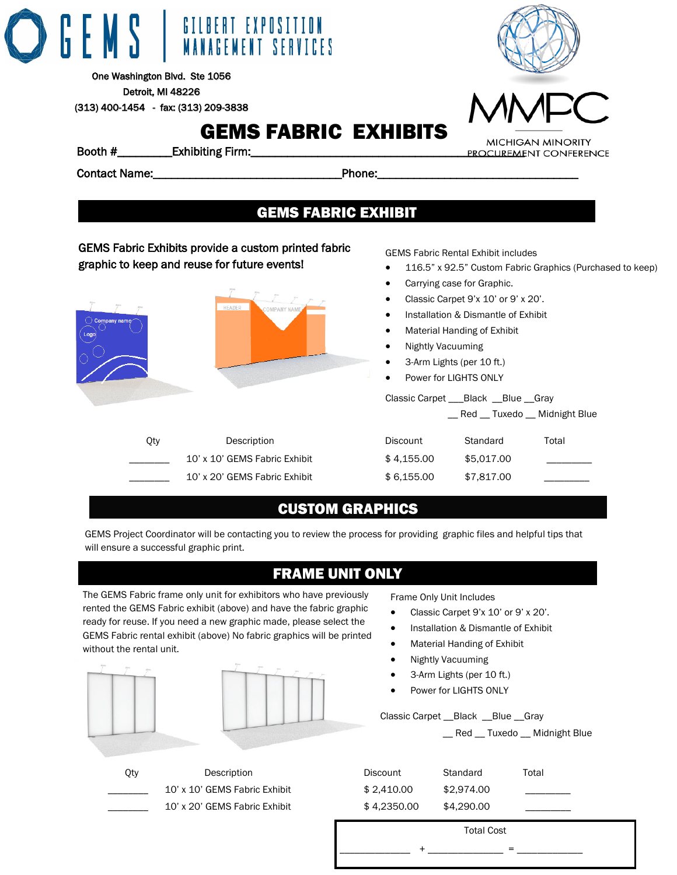# GILBERT EXPOSITION **MANAGEMENT SERVICES**

One Washington Blvd. Ste 1056 Detroit, MI 48226 (313) 400-1454 - fax: (313) 209-3838

# GEMS FABRIC EXHIBITS



Contact Name:\_\_\_\_\_\_\_\_\_\_\_\_\_\_\_\_\_\_\_\_\_\_\_\_\_\_\_\_\_\_\_Phone:\_\_\_\_\_\_\_\_\_\_\_\_\_\_\_\_\_\_\_\_\_\_\_\_\_\_\_\_\_\_\_\_\_

# GEMS FABRIC EXHIBIT

# GEMS Fabric Exhibits provide a custom printed fabric graphic to keep and reuse for future events!



GEMS Fabric Rental Exhibit includes

- 116.5" x 92.5" Custom Fabric Graphics (Purchased to keep)
- Carrying case for Graphic.
- Classic Carpet 9'x 10' or 9' x 20'.
- Installation & Dismantle of Exhibit
- Material Handing of Exhibit
- Nightly Vacuuming
- 3-Arm Lights (per 10 ft.)
- Power for LIGHTS ONLY

# Classic Carpet \_\_\_Black \_\_Blue \_\_Gray \_\_ Red \_\_ Tuxedo \_\_ Midnight Blue

| <b>Discount</b> | Standard   | Total |
|-----------------|------------|-------|
| \$4.155.00      | \$5,017,00 |       |
| \$6.155.00      | \$7,817,00 |       |

# CUSTOM GRAPHICS

GEMS Project Coordinator will be contacting you to review the process for providing graphic files and helpful tips that will ensure a successful graphic print.

# FRAME UNIT ONLY

The GEMS Fabric frame only unit for exhibitors who have previously rented the GEMS Fabric exhibit (above) and have the fabric graphic ready for reuse. If you need a new graphic made, please select the GEMS Fabric rental exhibit (above) No fabric graphics will be printed without the rental unit.





Qty Description 10' x 10' GEMS Fabric Exhibit 10' x 20' GEMS Fabric Exhibit Frame Only Unit Includes

- Classic Carpet 9'x 10' or 9' x 20'.
- Installation & Dismantle of Exhibit
- Material Handing of Exhibit
- Nightly Vacuuming
- 3-Arm Lights (per 10 ft.)
- Power for LIGHTS ONLY

Classic Carpet \_\_Black \_\_Blue \_\_Gray

\_\_ Red \_\_ Tuxedo \_\_ Midnight Blue

| Discount    | Standard   | Total |
|-------------|------------|-------|
| \$2,410.00  | \$2,974.00 |       |
| \$4.2350.00 | \$4,290,00 |       |

Total Cost

 $\Box$  =  $\Box$ 

Booth #\_\_\_\_\_\_\_\_\_Exhibiting Firm:\_\_\_\_\_\_\_\_\_\_\_\_\_\_\_\_\_\_\_\_\_\_\_\_\_\_\_\_\_\_\_\_\_\_\_\_\_\_\_\_\_\_\_\_\_